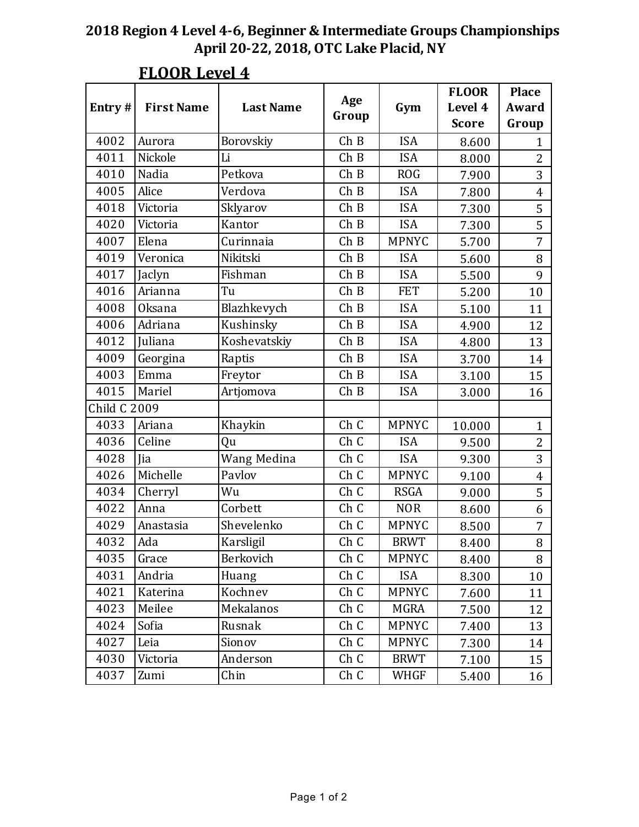|                     |                   |                  |       |              | <b>FLOOR</b> | <b>Place</b>   |
|---------------------|-------------------|------------------|-------|--------------|--------------|----------------|
| Entry#              | <b>First Name</b> | <b>Last Name</b> | Age   | Gym          | Level 4      | Award          |
|                     |                   |                  | Group |              | <b>Score</b> | Group          |
| 4002                | Aurora            | Borovskiy        | Ch B  | <b>ISA</b>   | 8.600        | $\mathbf{1}$   |
| 4011                | Nickole           | Li               | ChB   | <b>ISA</b>   | 8.000        | $\overline{2}$ |
| 4010                | Nadia             | Petkova          | ChB   | <b>ROG</b>   | 7.900        | $\overline{3}$ |
| 4005                | Alice             | Verdova          | ChB   | <b>ISA</b>   | 7.800        | 4              |
| 4018                | Victoria          | Sklyarov         | ChB   | <b>ISA</b>   | 7.300        | 5              |
| 4020                | Victoria          | Kantor           | ChB   | <b>ISA</b>   | 7.300        | 5              |
| 4007                | Elena             | Curinnaia        | ChB   | <b>MPNYC</b> | 5.700        | 7              |
| 4019                | Veronica          | Nikitski         | ChB   | <b>ISA</b>   | 5.600        | 8              |
| 4017                | Jaclyn            | Fishman          | ChB   | <b>ISA</b>   | 5.500        | 9              |
| 4016                | Arianna           | Tu               | ChB   | <b>FET</b>   | 5.200        | 10             |
| 4008                | <b>Oksana</b>     | Blazhkevych      | ChB   | <b>ISA</b>   | 5.100        | 11             |
| 4006                | Adriana           | Kushinsky        | ChB   | <b>ISA</b>   | 4.900        | 12             |
| 4012                | Juliana           | Koshevatskiy     | ChB   | <b>ISA</b>   | 4.800        | 13             |
| 4009                | Georgina          | Raptis           | ChB   | <b>ISA</b>   | 3.700        | 14             |
| 4003                | Emma              | Freytor          | ChB   | <b>ISA</b>   | 3.100        | 15             |
| 4015                | Mariel            | Artjomova        | ChB   | <b>ISA</b>   | 3.000        | 16             |
| <b>Child C 2009</b> |                   |                  |       |              |              |                |
| 4033                | Ariana            | Khaykin          | Ch C  | <b>MPNYC</b> | 10.000       | $\mathbf{1}$   |
| 4036                | Celine            | Qu               | Ch C  | <b>ISA</b>   | 9.500        | $\overline{2}$ |
| 4028                | Jia               | Wang Medina      | Ch C  | <b>ISA</b>   | 9.300        | $\overline{3}$ |
| 4026                | Michelle          | Pavlov           | Ch C  | <b>MPNYC</b> | 9.100        | $\overline{4}$ |
| 4034                | Cherryl           | Wu               | Ch C  | <b>RSGA</b>  | 9.000        | 5              |
| 4022                | Anna              | Corbett          | Ch C  | <b>NOR</b>   | 8.600        | 6              |
| 4029                | Anastasia         | Shevelenko       | Ch C  | <b>MPNYC</b> | 8.500        | 7              |
| 4032                | Ada               | Karsligil        | Ch C  | <b>BRWT</b>  | 8.400        | 8              |
| 4035                | Grace             | Berkovich        | Ch C  | <b>MPNYC</b> | 8.400        | 8              |
| 4031                | Andria            | Huang            | Ch C  | <b>ISA</b>   | 8.300        | 10             |
| 4021                | Katerina          | Kochnev          | Ch C  | <b>MPNYC</b> | 7.600        | 11             |
| 4023                | Meilee            | Mekalanos        | Ch C  | MGRA         | 7.500        | 12             |
| 4024                | Sofia             | Rusnak           | Ch C  | MPNYC        | 7.400        | 13             |
| 4027                | Leia              | Sionov           | Ch C  | <b>MPNYC</b> | 7.300        | 14             |
| 4030                | Victoria          | Anderson         | Ch C  | <b>BRWT</b>  | 7.100        | 15             |
| 4037                | Zumi              | Chin             | Ch C  | WHGF         | 5.400        | 16             |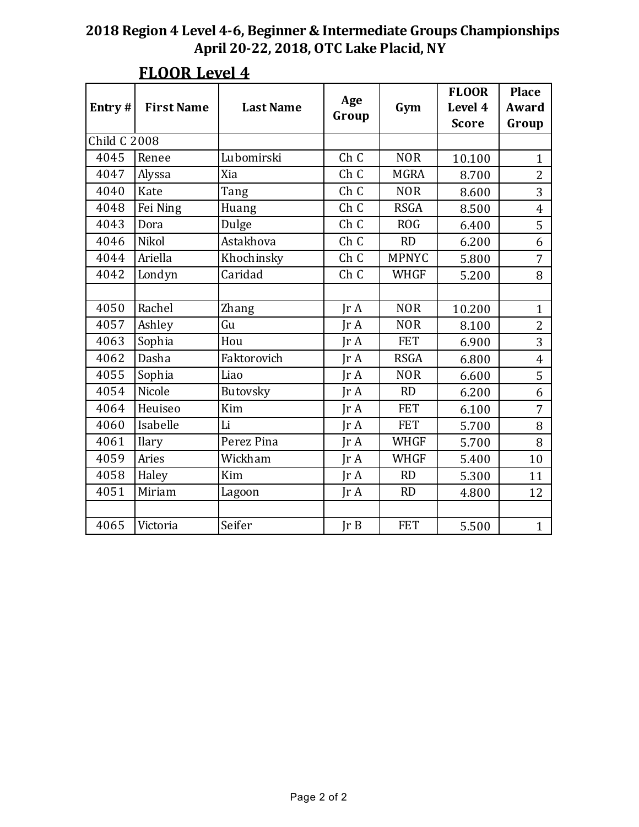| Entry#              | <b>First Name</b> | <b>Last Name</b> | Age<br>Group    | Gym          | <b>FLOOR</b><br>Level 4<br><b>Score</b> | <b>Place</b><br>Award<br>Group |
|---------------------|-------------------|------------------|-----------------|--------------|-----------------------------------------|--------------------------------|
| <b>Child C 2008</b> |                   |                  |                 |              |                                         |                                |
| 4045                | Renee             | Lubomirski       | Ch <sub>C</sub> | <b>NOR</b>   | 10.100                                  | $\mathbf{1}$                   |
| 4047                | Alyssa            | Xia              | Ch C            | <b>MGRA</b>  | 8.700                                   | $\overline{2}$                 |
| 4040                | Kate              | Tang             | Ch C            | <b>NOR</b>   | 8.600                                   | 3                              |
| 4048                | Fei Ning          | Huang            | Ch C            | <b>RSGA</b>  | 8.500                                   | $\overline{4}$                 |
| 4043                | Dora              | Dulge            | Ch C            | <b>ROG</b>   | 6.400                                   | 5                              |
| 4046                | Nikol             | Astakhova        | Ch C            | <b>RD</b>    | 6.200                                   | 6                              |
| 4044                | Ariella           | Khochinsky       | Ch C            | <b>MPNYC</b> | 5.800                                   | $\overline{7}$                 |
| 4042                | Londyn            | Caridad          | Ch C            | <b>WHGF</b>  | 5.200                                   | 8                              |
|                     |                   |                  |                 |              |                                         |                                |
| 4050                | Rachel            | Zhang            | IrA             | <b>NOR</b>   | 10.200                                  | $\mathbf{1}$                   |
| 4057                | Ashley            | Gu               | IrA             | <b>NOR</b>   | 8.100                                   | 2                              |
| 4063                | Sophia            | Hou              | $\text{Tr }A$   | <b>FET</b>   | 6.900                                   | 3                              |
| 4062                | Dasha             | Faktorovich      | IrA             | <b>RSGA</b>  | 6.800                                   | $\overline{4}$                 |
| 4055                | Sophia            | Liao             | IrA             | <b>NOR</b>   | 6.600                                   | 5                              |
| 4054                | Nicole            | Butovsky         | IrA             | <b>RD</b>    | 6.200                                   | 6                              |
| 4064                | Heuiseo           | Kim              | IrA             | <b>FET</b>   | 6.100                                   | 7                              |
| 4060                | Isabelle          | Li               | IrA             | <b>FET</b>   | 5.700                                   | 8                              |
| 4061                | Ilary             | Perez Pina       | IrA             | <b>WHGF</b>  | 5.700                                   | 8                              |
| 4059                | Aries             | Wickham          | IrA             | <b>WHGF</b>  | 5.400                                   | 10                             |
| 4058                | Haley             | Kim              | IrA             | <b>RD</b>    | 5.300                                   | 11                             |
| 4051                | Miriam            | Lagoon           | IrA             | <b>RD</b>    | 4.800                                   | 12                             |
|                     |                   |                  |                 |              |                                         |                                |
| 4065                | Victoria          | Seifer           | Ir B            | <b>FET</b>   | 5.500                                   | $\mathbf{1}$                   |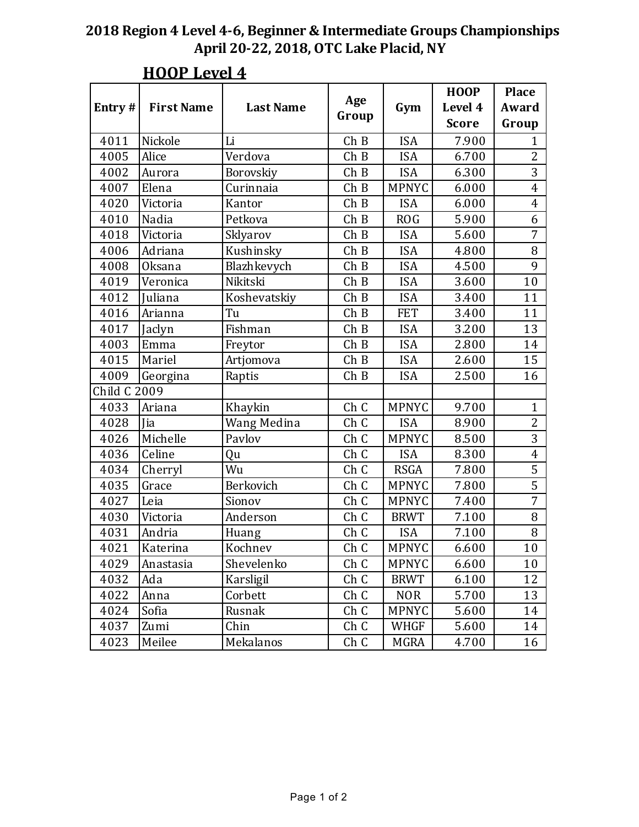| Entry#       | <b>First Name</b> | <b>Last Name</b> | Age<br>Group | Gym          | <b>HOOP</b><br>Level 4<br><b>Score</b> | <b>Place</b><br>Award<br>Group |
|--------------|-------------------|------------------|--------------|--------------|----------------------------------------|--------------------------------|
| 4011         | Nickole           | Li               | ChB          | <b>ISA</b>   | 7.900                                  | $\mathbf{1}$                   |
| 4005         | Alice             | Verdova          | ChB          | <b>ISA</b>   | 6.700                                  | $\overline{2}$                 |
| 4002         | Aurora            | Borovskiy        | ChB          | <b>ISA</b>   | 6.300                                  | 3                              |
| 4007         | Elena             | Curinnaia        | ChB          | <b>MPNYC</b> | 6.000                                  | $\overline{4}$                 |
| 4020         | Victoria          | Kantor           | ChB          | <b>ISA</b>   | 6.000                                  | $\overline{4}$                 |
| 4010         | Nadia             | Petkova          | ChB          | <b>ROG</b>   | 5.900                                  | 6                              |
| 4018         | Victoria          | Sklyarov         | ChB          | <b>ISA</b>   | 5.600                                  | $\overline{7}$                 |
| 4006         | Adriana           | Kushinsky        | ChB          | <b>ISA</b>   | 4.800                                  | 8                              |
| 4008         | Oksana            | Blazhkevych      | ChB          | <b>ISA</b>   | 4.500                                  | 9                              |
| 4019         | Veronica          | Nikitski         | ChB          | <b>ISA</b>   | 3.600                                  | 10                             |
| 4012         | <b>Juliana</b>    | Koshevatskiy     | ChB          | <b>ISA</b>   | 3.400                                  | 11                             |
| 4016         | Arianna           | Tu               | ChB          | <b>FET</b>   | 3.400                                  | 11                             |
| 4017         | Jaclyn            | Fishman          | ChB          | <b>ISA</b>   | 3.200                                  | 13                             |
| 4003         | Emma              | Freytor          | ChB          | <b>ISA</b>   | 2.800                                  | 14                             |
| 4015         | Mariel            | Artjomova        | ChB          | <b>ISA</b>   | 2.600                                  | 15                             |
| 4009         | Georgina          | Raptis           | ChB          | <b>ISA</b>   | 2.500                                  | 16                             |
| Child C 2009 |                   |                  |              |              |                                        |                                |
| 4033         | Ariana            | Khaykin          | Ch C         | <b>MPNYC</b> | 9.700                                  | $\mathbf{1}$                   |
| 4028         | <b>Jia</b>        | Wang Medina      | Ch C         | <b>ISA</b>   | 8.900                                  | $\overline{2}$                 |
| 4026         | Michelle          | Pavlov           | Ch C         | <b>MPNYC</b> | 8.500                                  | 3                              |
| 4036         | Celine            | Qu               | Ch C         | <b>ISA</b>   | 8.300                                  | $\overline{4}$                 |
| 4034         | Cherryl           | Wu               | Ch C         | <b>RSGA</b>  | 7.800                                  | 5                              |
| 4035         | Grace             | Berkovich        | Ch C         | <b>MPNYC</b> | 7.800                                  | 5                              |
| 4027         | Leia              | Sionov           | Ch C         | <b>MPNYC</b> | 7.400                                  | 7                              |
| 4030         | Victoria          | Anderson         | Ch C         | <b>BRWT</b>  | 7.100                                  | 8                              |
| 4031         | Andria            | Huang            | Ch C         | <b>ISA</b>   | 7.100                                  | 8                              |
| 4021         | Katerina          | Kochnev          | Ch C         | <b>MPNYC</b> | 6.600                                  | 10                             |
| 4029         | Anastasia         | Shevelenko       | Ch C         | <b>MPNYC</b> | 6.600                                  | 10                             |
| 4032         | Ada               | Karsligil        | Ch C         | <b>BRWT</b>  | 6.100                                  | 12                             |
| 4022         | Anna              | Corbett          | Ch C         | <b>NOR</b>   | 5.700                                  | 13                             |
| 4024         | Sofia             | Rusnak           | Ch C         | <b>MPNYC</b> | 5.600                                  | 14                             |
| 4037         | Zumi              | Chin             | Ch C         | WHGF         | 5.600                                  | 14                             |
| 4023         | Meilee            | Mekalanos        | Ch C         | MGRA         | 4.700                                  | 16                             |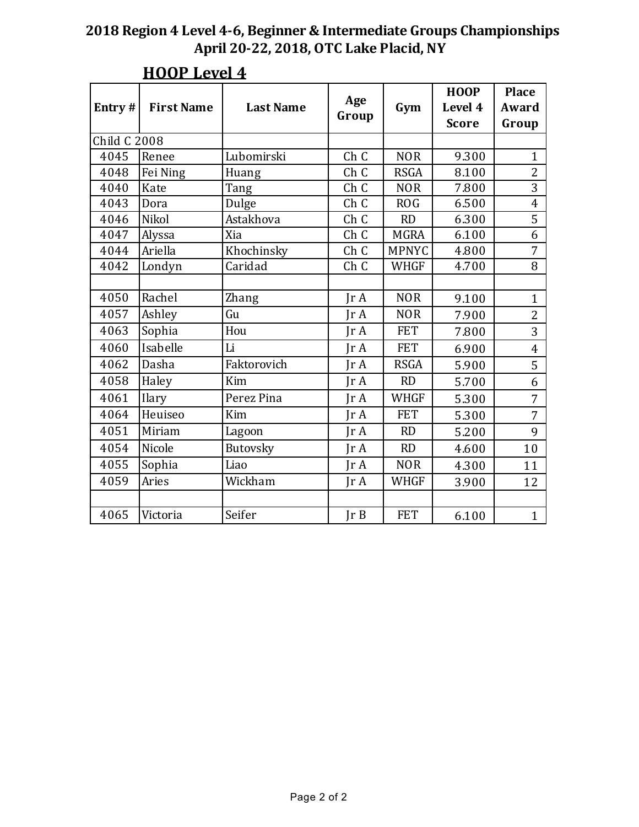| Entry#              | <b>First Name</b> | <b>Last Name</b> | Age<br>Group            | Gym          | <b>HOOP</b><br>Level 4<br><b>Score</b> | <b>Place</b><br>Award<br>Group |
|---------------------|-------------------|------------------|-------------------------|--------------|----------------------------------------|--------------------------------|
| <b>Child C 2008</b> |                   |                  |                         |              |                                        |                                |
| 4045                | Renee             | Lubomirski       | Ch C                    | <b>NOR</b>   | 9.300                                  | $\mathbf{1}$                   |
| 4048                | Fei Ning          | Huang            | Ch C                    | <b>RSGA</b>  | 8.100                                  | $\overline{2}$                 |
| 4040                | Kate              | Tang             | Ch C                    | <b>NOR</b>   | 7.800                                  | 3                              |
| 4043                | Dora              | Dulge            | Ch C                    | <b>ROG</b>   | 6.500                                  | $\overline{4}$                 |
| 4046                | Nikol             | Astakhova        | Ch C                    | RD           | 6.300                                  | 5                              |
| 4047                | Alyssa            | Xia              | Ch C                    | <b>MGRA</b>  | 6.100                                  | 6                              |
| 4044                | Ariella           | Khochinsky       | Ch C                    | <b>MPNYC</b> | 4.800                                  | 7                              |
| 4042                | Londyn            | Caridad          | Ch C                    | <b>WHGF</b>  | 4.700                                  | 8                              |
|                     |                   |                  |                         |              |                                        |                                |
| 4050                | Rachel            | Zhang            | $\text{Tr }A$           | <b>NOR</b>   | 9.100                                  | $\mathbf{1}$                   |
| 4057                | Ashley            | Gu               | IrA                     | <b>NOR</b>   | 7.900                                  | $\overline{2}$                 |
| 4063                | Sophia            | Hou              | IrA                     | <b>FET</b>   | 7.800                                  | 3                              |
| 4060                | Isabelle          | Li               | $\text{Tr }A$           | <b>FET</b>   | 6.900                                  | $\overline{4}$                 |
| 4062                | Dasha             | Faktorovich      | IrA                     | <b>RSGA</b>  | 5.900                                  | 5                              |
| 4058                | Haley             | Kim              | IrA                     | <b>RD</b>    | 5.700                                  | 6                              |
| 4061                | Ilary             | Perez Pina       | IrA                     | <b>WHGF</b>  | 5.300                                  | 7                              |
| 4064                | Heuiseo           | Kim              | $\text{Tr } \mathbf{A}$ | <b>FET</b>   | 5.300                                  | 7                              |
| 4051                | Miriam            | Lagoon           | IrA                     | <b>RD</b>    | 5.200                                  | 9                              |
| 4054                | Nicole            | Butovsky         | IrA                     | RD           | 4.600                                  | 10                             |
| 4055                | Sophia            | Liao             | IrA                     | <b>NOR</b>   | 4.300                                  | 11                             |
| 4059                | Aries             | Wickham          | IrA                     | <b>WHGF</b>  | 3.900                                  | 12                             |
|                     |                   |                  |                         |              |                                        |                                |
| 4065                | Victoria          | Seifer           | Ir B                    | <b>FET</b>   | 6.100                                  | $\mathbf{1}$                   |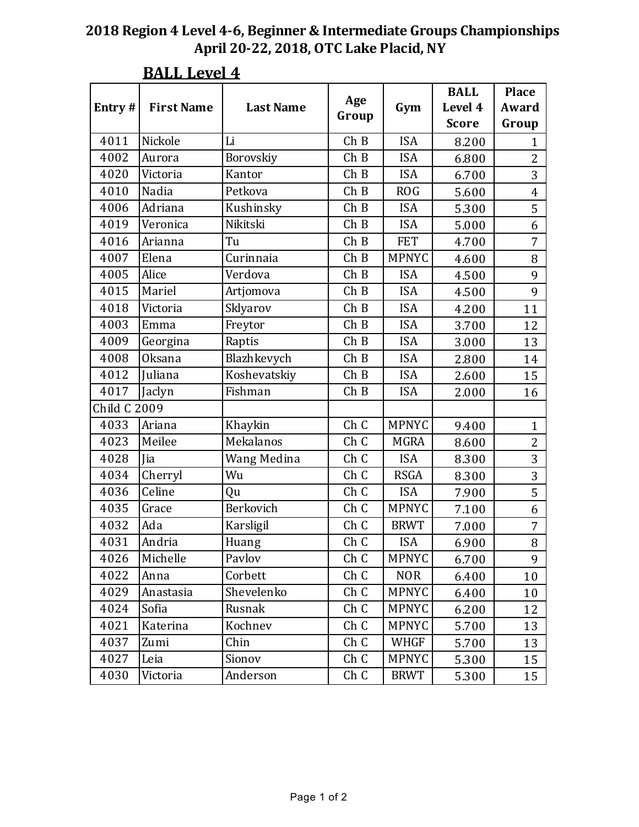| Entry#         | <b>First Name</b> | <b>Last Name</b> | Age   | Gym          | <b>BALL</b><br>Level 4 | <b>Place</b><br>Award |
|----------------|-------------------|------------------|-------|--------------|------------------------|-----------------------|
|                |                   |                  | Group |              | <b>Score</b>           | Group                 |
| 4011           | Nickole           | Li               | ChB   | <b>ISA</b>   | 8.200                  | 1                     |
| 4002           | Aurora            | Borovskiy        | ChB   | <b>ISA</b>   | 6.800                  | $\overline{2}$        |
| 4020           | Victoria          | Kantor           | ChB   | <b>ISA</b>   | 6.700                  | 3                     |
| 4010           | Nadia             | Petkova          | ChB   | <b>ROG</b>   | 5.600                  | $\overline{4}$        |
| 4006           | Adriana           | Kushinsky        | ChB   | <b>ISA</b>   | 5.300                  | 5                     |
| 4019           | Veronica          | Nikitski         | ChB   | <b>ISA</b>   | 5.000                  | 6                     |
| 4016           | Arianna           | Tu               | ChB   | <b>FET</b>   | 4.700                  | 7                     |
| 4007           | Elena             | Curinnaia        | ChB   | <b>MPNYC</b> | 4.600                  | 8                     |
| 4005           | Alice             | Verdova          | ChB   | <b>ISA</b>   | 4.500                  | 9                     |
| 4015           | Mariel            | Artjomova        | ChB   | <b>ISA</b>   | 4.500                  | 9                     |
| 4018           | Victoria          | Sklyarov         | ChB   | <b>ISA</b>   | 4.200                  | 11                    |
| 4003           | Emma              | Freytor          | ChB   | <b>ISA</b>   | 3.700                  | 12                    |
| 4009           | Georgina          | Raptis           | ChB   | <b>ISA</b>   | 3.000                  | 13                    |
| 4008           | <b>Oksana</b>     | Blazhkevych      | ChB   | <b>ISA</b>   | 2.800                  | 14                    |
| 4012           | Juliana           | Koshevatskiy     | ChB   | <b>ISA</b>   | 2.600                  | 15                    |
| 4017           | Jaclyn            | Fishman          | ChB   | <b>ISA</b>   | 2.000                  | 16                    |
| Child C $2009$ |                   |                  |       |              |                        |                       |
| 4033           | Ariana            | Khaykin          | Ch C  | <b>MPNYC</b> | 9.400                  | $\mathbf{1}$          |
| 4023           | Meilee            | Mekalanos        | Ch C  | <b>MGRA</b>  | 8.600                  | $\overline{2}$        |
| 4028           | Jia               | Wang Medina      | Ch C  | <b>ISA</b>   | 8.300                  | 3                     |
| 4034           | Cherryl           | Wu               | Ch C  | <b>RSGA</b>  | 8.300                  | 3                     |
| 4036           | Celine            | Qu               | Ch C  | <b>ISA</b>   | 7.900                  | 5                     |
| 4035           | Grace             | Berkovich        | Ch C  | <b>MPNYC</b> | 7.100                  | 6                     |
| 4032           | Ada               | Karsligil        | Ch C  | <b>BRWT</b>  | 7.000                  | 7                     |
| 4031           | Andria            | Huang            | Ch C  | <b>ISA</b>   | 6.900                  | 8                     |
| 4026           | Michelle          | Pavlov           | Ch C  | <b>MPNYC</b> | 6.700                  | 9                     |
| 4022           | Anna              | Corbett          | Ch C  | <b>NOR</b>   | 6.400                  | 10                    |
| 4029           | Anastasia         | Shevelenko       | Ch C  | <b>MPNYC</b> | 6.400                  | 10                    |
| 4024           | Sofia             | Rusnak           | Ch C  | <b>MPNYC</b> | 6.200                  | 12                    |
| 4021           | Katerina          | Kochnev          | Ch C  | <b>MPNYC</b> | 5.700                  | 13                    |
| 4037           | Zumi              | Chin             | Ch C  | WHGF         | 5.700                  | 13                    |
| 4027           | Leia              | Sionov           | Ch C  | <b>MPNYC</b> | 5.300                  | 15                    |
| 4030           | Victoria          | Anderson         | Ch C  | <b>BRWT</b>  | 5.300                  | 15                    |

## **BALL Level 4**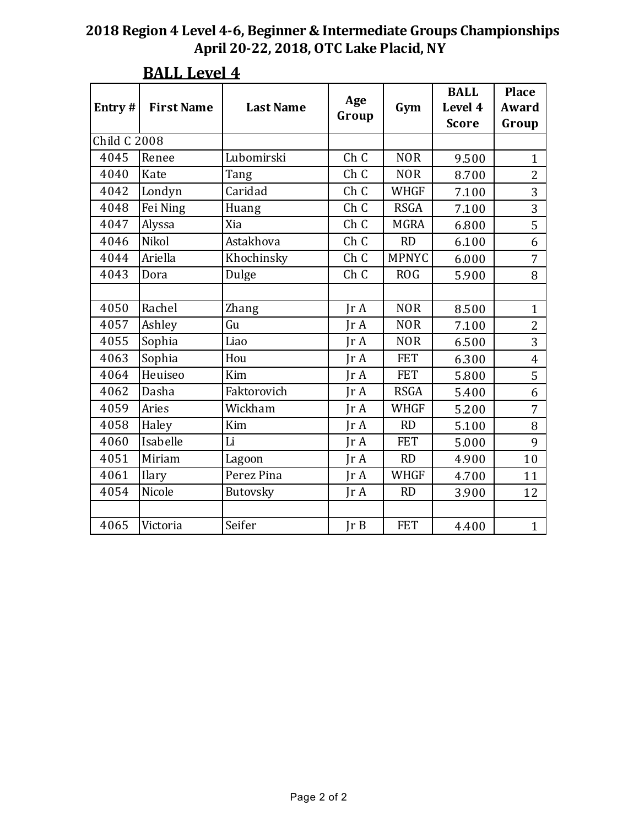| Entry#              | <b>First Name</b> | <b>Last Name</b> | Age<br>Group    | Gym          | <b>BALL</b><br>Level 4<br><b>Score</b> | <b>Place</b><br>Award<br>Group |
|---------------------|-------------------|------------------|-----------------|--------------|----------------------------------------|--------------------------------|
| <b>Child C 2008</b> |                   |                  |                 |              |                                        |                                |
| 4045                | Renee             | Lubomirski       | Ch C            | <b>NOR</b>   | 9.500                                  | $\mathbf{1}$                   |
| 4040                | Kate              | Tang             | Ch C            | <b>NOR</b>   | 8.700                                  | $\overline{2}$                 |
| 4042                | Londyn            | Caridad          | Ch C            | <b>WHGF</b>  | 7.100                                  | 3                              |
| 4048                | Fei Ning          | Huang            | Ch C            | <b>RSGA</b>  | 7.100                                  | 3                              |
| 4047                | Alyssa            | Xia              | Ch C            | <b>MGRA</b>  | 6.800                                  | 5                              |
| 4046                | Nikol             | Astakhova        | Ch C            | <b>RD</b>    | 6.100                                  | 6                              |
| 4044                | Ariella           | Khochinsky       | Ch <sub>C</sub> | <b>MPNYC</b> | 6.000                                  | 7                              |
| 4043                | Dora              | Dulge            | Ch C            | <b>ROG</b>   | 5.900                                  | 8                              |
|                     |                   |                  |                 |              |                                        |                                |
| 4050                | Rachel            | Zhang            | IrA             | <b>NOR</b>   | 8.500                                  | $\mathbf{1}$                   |
| 4057                | Ashley            | Gu               | IrA             | <b>NOR</b>   | 7.100                                  | $\overline{2}$                 |
| 4055                | Sophia            | Liao             | IrA             | <b>NOR</b>   | 6.500                                  | 3                              |
| 4063                | Sophia            | Hou              | $\text{Tr }A$   | <b>FET</b>   | 6.300                                  | $\overline{4}$                 |
| 4064                | Heuiseo           | Kim              | IrA             | <b>FET</b>   | 5.800                                  | 5                              |
| 4062                | Dasha             | Faktorovich      | $\text{Tr }A$   | <b>RSGA</b>  | 5.400                                  | 6                              |
| 4059                | Aries             | Wickham          | $\text{Tr }A$   | <b>WHGF</b>  | 5.200                                  | 7                              |
| 4058                | Haley             | Kim              | IrA             | <b>RD</b>    | 5.100                                  | 8                              |
| 4060                | Isabelle          | Li               | IrA             | <b>FET</b>   | 5.000                                  | 9                              |
| 4051                | Miriam            | Lagoon           | IrA             | <b>RD</b>    | 4.900                                  | 10                             |
| 4061                | Ilary             | Perez Pina       | Jr A            | <b>WHGF</b>  | 4.700                                  | 11                             |
| 4054                | Nicole            | Butovsky         | IrA             | <b>RD</b>    | 3.900                                  | 12                             |
|                     |                   |                  |                 |              |                                        |                                |
| 4065                | Victoria          | Seifer           | JrB             | <b>FET</b>   | 4.400                                  | $\mathbf{1}$                   |

## **BALL Level 4**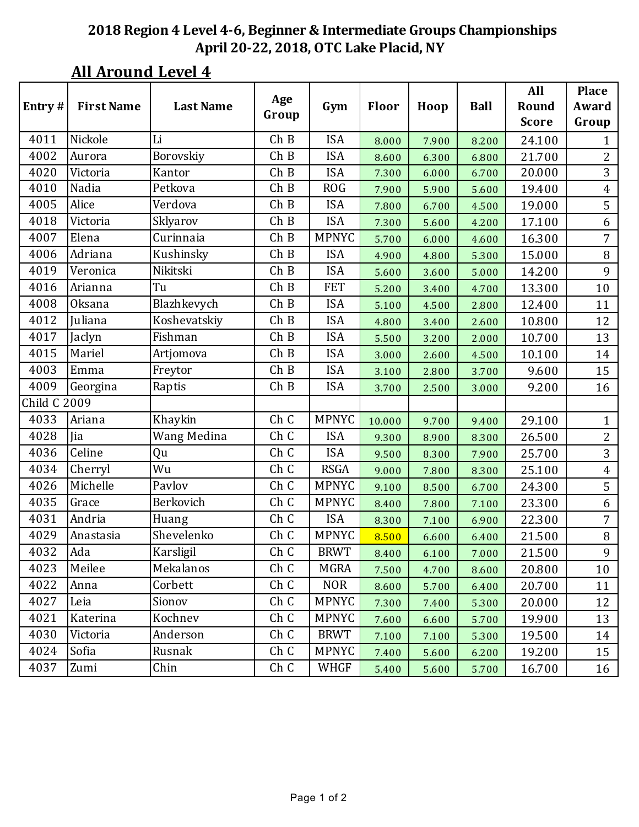|              |                   |                  |       |              |        |       |             | All          | <b>Place</b>   |
|--------------|-------------------|------------------|-------|--------------|--------|-------|-------------|--------------|----------------|
| Entry#       | <b>First Name</b> | <b>Last Name</b> | Age   | Gym          | Floor  | Hoop  | <b>Ball</b> | Round        | Award          |
|              |                   |                  | Group |              |        |       |             | <b>Score</b> | Group          |
| 4011         | Nickole           | Li               | ChB   | <b>ISA</b>   | 8.000  | 7.900 | 8.200       | 24.100       | 1              |
| 4002         | Aurora            | Borovskiy        | ChB   | <b>ISA</b>   | 8.600  | 6.300 | 6.800       | 21.700       | $\overline{2}$ |
| 4020         | Victoria          | Kantor           | Ch B  | <b>ISA</b>   | 7.300  | 6.000 | 6.700       | 20.000       | 3              |
| 4010         | Nadia             | Petkova          | ChB   | <b>ROG</b>   | 7.900  | 5.900 | 5.600       | 19.400       | $\overline{4}$ |
| 4005         | Alice             | Verdova          | ChB   | <b>ISA</b>   | 7.800  | 6.700 | 4.500       | 19.000       | 5              |
| 4018         | Victoria          | Sklyarov         | ChB   | <b>ISA</b>   | 7.300  | 5.600 | 4.200       | 17.100       | 6              |
| 4007         | Elena             | Curinnaia        | ChB   | <b>MPNYC</b> | 5.700  | 6.000 | 4.600       | 16.300       | 7              |
| 4006         | Adriana           | Kushinsky        | ChB   | <b>ISA</b>   | 4.900  | 4.800 | 5.300       | 15.000       | 8              |
| 4019         | Veronica          | Nikitski         | Ch B  | <b>ISA</b>   | 5.600  | 3.600 | 5.000       | 14.200       | 9              |
| 4016         | Arianna           | Tu               | ChB   | <b>FET</b>   | 5.200  | 3.400 | 4.700       | 13.300       | 10             |
| 4008         | <b>Oksana</b>     | Blazhkevych      | ChB   | <b>ISA</b>   | 5.100  | 4.500 | 2.800       | 12.400       | 11             |
| 4012         | Juliana           | Koshevatskiy     | ChB   | <b>ISA</b>   | 4.800  | 3.400 | 2.600       | 10.800       | 12             |
| 4017         | Jaclyn            | Fishman          | ChB   | <b>ISA</b>   | 5.500  | 3.200 | 2.000       | 10.700       | 13             |
| 4015         | Mariel            | Artjomova        | Ch B  | <b>ISA</b>   | 3.000  | 2.600 | 4.500       | 10.100       | 14             |
| 4003         | Emma              | Freytor          | ChB   | <b>ISA</b>   | 3.100  | 2.800 | 3.700       | 9.600        | 15             |
| 4009         | Georgina          | Raptis           | ChB   | <b>ISA</b>   | 3.700  | 2.500 | 3.000       | 9.200        | 16             |
| Child C 2009 |                   |                  |       |              |        |       |             |              |                |
| 4033         | Ariana            | Khaykin          | Ch C  | <b>MPNYC</b> | 10.000 | 9.700 | 9.400       | 29.100       | $\mathbf{1}$   |
| 4028         | Jia               | Wang Medina      | Ch C  | <b>ISA</b>   | 9.300  | 8.900 | 8.300       | 26.500       | $\overline{2}$ |
| 4036         | Celine            | Qu               | Ch C  | <b>ISA</b>   | 9.500  | 8.300 | 7.900       | 25.700       | $\overline{3}$ |
| 4034         | Cherryl           | Wu               | Ch C  | <b>RSGA</b>  | 9.000  | 7.800 | 8.300       | 25.100       | $\overline{4}$ |
| 4026         | Michelle          | Pavlov           | Ch C  | <b>MPNYC</b> | 9.100  | 8.500 | 6.700       | 24.300       | 5              |
| 4035         | Grace             | Berkovich        | Ch C  | <b>MPNYC</b> | 8.400  | 7.800 | 7.100       | 23.300       | 6              |
| 4031         | Andria            | Huang            | Ch C  | <b>ISA</b>   | 8.300  | 7.100 | 6.900       | 22.300       | 7              |
| 4029         | Anastasia         | Shevelenko       | Ch C  | <b>MPNYC</b> | 8.500  | 6.600 | 6.400       | 21.500       | 8              |
| 4032         | Ada               | Karsligil        | Ch C  | <b>BRWT</b>  | 8.400  | 6.100 | 7.000       | 21.500       | 9              |
| 4023         | Meilee            | Mekalanos        | Ch C  | <b>MGRA</b>  | 7.500  | 4.700 | 8.600       | 20.800       | 10             |
| 4022         | Anna              | Corbett          | Ch C  | <b>NOR</b>   | 8.600  | 5.700 | 6.400       | 20.700       | 11             |
| 4027         | Leia              | Sionov           | Ch C  | <b>MPNYC</b> | 7.300  | 7.400 | 5.300       | 20.000       | 12             |
| 4021         | Katerina          | Kochnev          | Ch C  | <b>MPNYC</b> | 7.600  | 6.600 | 5.700       | 19.900       | 13             |
| 4030         | Victoria          | Anderson         | Ch C  | <b>BRWT</b>  | 7.100  | 7.100 | 5.300       | 19.500       | 14             |
| 4024         | Sofia             | Rusnak           | Ch C  | <b>MPNYC</b> | 7.400  | 5.600 | 6.200       | 19.200       | 15             |
| 4037         | Zumi              | Chin             | Ch C  | WHGF         | 5.400  | 5.600 | 5.700       | 16.700       | 16             |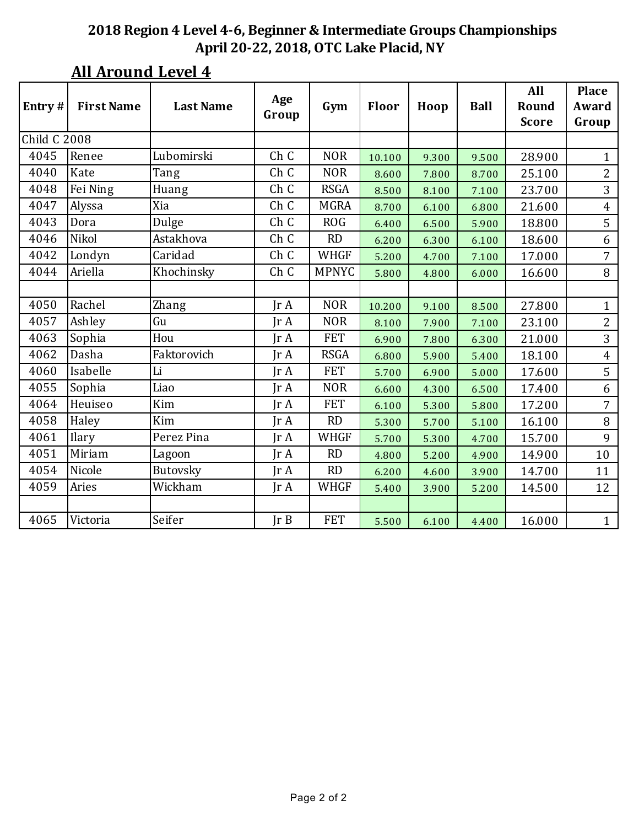### **2018 Region 4 Level 4-6, Beginner & Intermediate Groups Championships April 20-22, 2018, OTC Lake Placid, NY**

|                     |                   |                  | Age           |              |        |       |             | All          | <b>Place</b>   |
|---------------------|-------------------|------------------|---------------|--------------|--------|-------|-------------|--------------|----------------|
| Entry#              | <b>First Name</b> | <b>Last Name</b> | Group         | Gym          | Floor  | Hoop  | <b>Ball</b> | Round        | Award          |
|                     |                   |                  |               |              |        |       |             | <b>Score</b> | Group          |
| <b>Child C 2008</b> |                   |                  |               |              |        |       |             |              |                |
| 4045                | Renee             | Lubomirski       | Ch C          | <b>NOR</b>   | 10.100 | 9.300 | 9.500       | 28.900       | $\mathbf{1}$   |
| 4040                | Kate              | Tang             | Ch C          | <b>NOR</b>   | 8.600  | 7.800 | 8.700       | 25.100       | 2              |
| 4048                | Fei Ning          | Huang            | Ch C          | <b>RSGA</b>  | 8.500  | 8.100 | 7.100       | 23.700       | 3              |
| 4047                | Alyssa            | Xia              | Ch C          | <b>MGRA</b>  | 8.700  | 6.100 | 6.800       | 21.600       | $\overline{4}$ |
| 4043                | Dora              | Dulge            | Ch C          | <b>ROG</b>   | 6.400  | 6.500 | 5.900       | 18.800       | 5              |
| 4046                | Nikol             | Astakhova        | Ch C          | <b>RD</b>    | 6.200  | 6.300 | 6.100       | 18.600       | 6              |
| 4042                | Londyn            | Caridad          | Ch C          | <b>WHGF</b>  | 5.200  | 4.700 | 7.100       | 17.000       | 7              |
| 4044                | Ariella           | Khochinsky       | Ch C          | <b>MPNYC</b> | 5.800  | 4.800 | 6.000       | 16.600       | 8              |
|                     |                   |                  |               |              |        |       |             |              |                |
| 4050                | Rachel            | Zhang            | Jr A          | <b>NOR</b>   | 10.200 | 9.100 | 8.500       | 27.800       | $\mathbf{1}$   |
| 4057                | Ashley            | Gu               | IrA           | <b>NOR</b>   | 8.100  | 7.900 | 7.100       | 23.100       | $\overline{2}$ |
| 4063                | Sophia            | Hou              | IrA           | <b>FET</b>   | 6.900  | 7.800 | 6.300       | 21.000       | 3              |
| 4062                | Dasha             | Faktorovich      | $\text{Tr }A$ | <b>RSGA</b>  | 6.800  | 5.900 | 5.400       | 18.100       | $\overline{4}$ |
| 4060                | Isabelle          | Li               | Jr A          | <b>FET</b>   | 5.700  | 6.900 | 5.000       | 17.600       | 5              |
| 4055                | Sophia            | Liao             | IrA           | <b>NOR</b>   | 6.600  | 4.300 | 6.500       | 17.400       | 6              |
| 4064                | Heuiseo           | Kim              | IrA           | <b>FET</b>   | 6.100  | 5.300 | 5.800       | 17.200       | $\overline{7}$ |
| 4058                | Haley             | Kim              | $\text{Tr }A$ | RD           | 5.300  | 5.700 | 5.100       | 16.100       | 8              |
| 4061                | Ilary             | Perez Pina       | JrA           | <b>WHGF</b>  | 5.700  | 5.300 | 4.700       | 15.700       | 9              |
| 4051                | Miriam            | Lagoon           | Ir A          | <b>RD</b>    | 4.800  | 5.200 | 4.900       | 14.900       | 10             |
| 4054                | Nicole            | Butovsky         | Jr A          | <b>RD</b>    | 6.200  | 4.600 | 3.900       | 14.700       | 11             |
| 4059                | Aries             | Wickham          | $\text{Tr }A$ | <b>WHGF</b>  | 5.400  | 3.900 | 5.200       | 14.500       | 12             |
|                     |                   |                  |               |              |        |       |             |              |                |
| 4065                | Victoria          | Seifer           | JrB           | <b>FET</b>   | 5.500  | 6.100 | 4.400       | 16.000       | $\mathbf{1}$   |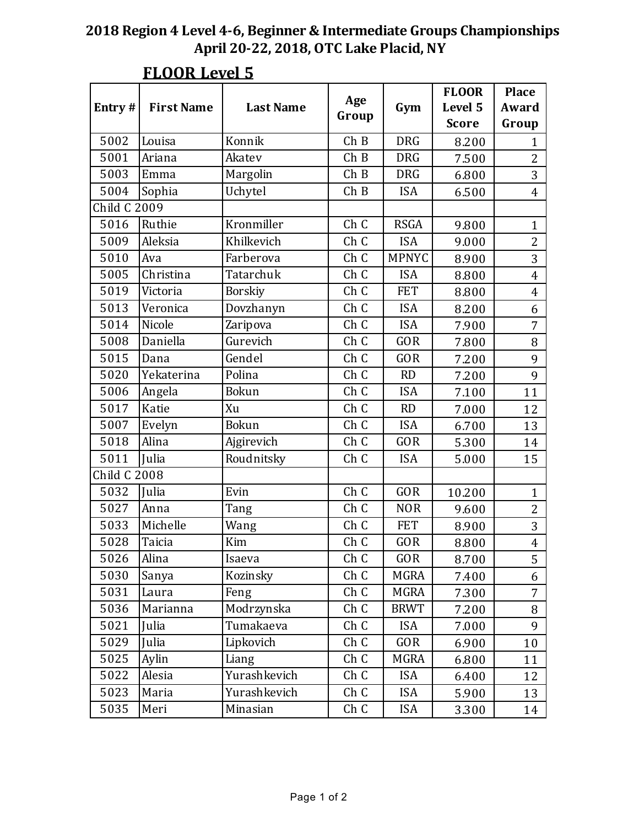| Entry#              | <b>First Name</b> | <b>Last Name</b> | Age<br>Group    | Gym          | <b>FLOOR</b><br>Level 5<br><b>Score</b> | <b>Place</b><br>Award<br>Group |
|---------------------|-------------------|------------------|-----------------|--------------|-----------------------------------------|--------------------------------|
| 5002                | Louisa            | Konnik           | ChB             | <b>DRG</b>   | 8.200                                   | $\mathbf{1}$                   |
| 5001                | Ariana            | Akatev           | ChB             | <b>DRG</b>   | 7.500                                   | $\overline{2}$                 |
| 5003                | Emma              | Margolin         | ChB             | <b>DRG</b>   | 6.800                                   | 3                              |
| 5004                | Sophia            | Uchytel          | ChB             | <b>ISA</b>   | 6.500                                   | 4                              |
| <b>Child C 2009</b> |                   |                  |                 |              |                                         |                                |
| 5016                | Ruthie            | Kronmiller       | Ch C            | <b>RSGA</b>  | 9.800                                   | $\mathbf{1}$                   |
| 5009                | Aleksia           | Khilkevich       | Ch C            | <b>ISA</b>   | 9.000                                   | $\overline{2}$                 |
| 5010                | Ava               | Farberova        | Ch C            | <b>MPNYC</b> | 8.900                                   | 3                              |
| 5005                | Christina         | Tatarchuk        | Ch C            | <b>ISA</b>   | 8.800                                   | $\overline{4}$                 |
| 5019                | Victoria          | <b>Borskiy</b>   | Ch C            | <b>FET</b>   | 8.800                                   | $\overline{4}$                 |
| 5013                | Veronica          | Dovzhanyn        | Ch C            | <b>ISA</b>   | 8.200                                   | 6                              |
| 5014                | Nicole            | Zaripova         | Ch C            | <b>ISA</b>   | 7.900                                   | 7                              |
| 5008                | Daniella          | Gurevich         | Ch C            | <b>GOR</b>   | 7.800                                   | 8                              |
| 5015                | Dana              | Gendel           | Ch C            | <b>GOR</b>   | 7.200                                   | 9                              |
| 5020                | Yekaterina        | Polina           | Ch C            | <b>RD</b>    | 7.200                                   | 9                              |
| 5006                | Angela            | <b>Bokun</b>     | Ch C            | <b>ISA</b>   | 7.100                                   | 11                             |
| 5017                | Katie             | Xu               | Ch C            | <b>RD</b>    | 7.000                                   | 12                             |
| 5007                | Evelyn            | <b>Bokun</b>     | Ch C            | <b>ISA</b>   | 6.700                                   | 13                             |
| 5018                | Alina             | Ajgirevich       | Ch C            | <b>GOR</b>   | 5.300                                   | 14                             |
| 5011                | Julia             | Roudnitsky       | Ch C            | <b>ISA</b>   | 5.000                                   | 15                             |
| <b>Child C 2008</b> |                   |                  |                 |              |                                         |                                |
| 5032                | Julia             | Evin             | Ch C            | <b>GOR</b>   | 10.200                                  | $\mathbf{1}$                   |
| 5027                | Anna              | Tang             | Ch C            | <b>NOR</b>   | 9.600                                   | $\overline{2}$                 |
| 5033                | Michelle          | Wang             | Ch C            | <b>FET</b>   | 8.900                                   | 3                              |
| 5028                | Taicia            | Kim              | Ch <sub>C</sub> | <b>GOR</b>   | 8.800                                   | $\overline{4}$                 |
| 5026                | Alina             | Isaeva           | Ch C            | GOR          | 8.700                                   | 5                              |
| 5030                | Sanya             | Kozinsky         | Ch C            | MGRA         | 7.400                                   | 6                              |
| 5031                | Laura             | Feng             | Ch C            | MGRA         | 7.300                                   | $\overline{7}$                 |
| 5036                | Marianna          | Modrzynska       | Ch C            | <b>BRWT</b>  | 7.200                                   | 8                              |
| 5021                | Julia             | Tumakaeva        | Ch C            | <b>ISA</b>   | 7.000                                   | 9                              |
| 5029                | Julia             | Lipkovich        | Ch C            | GOR          | 6.900                                   | 10                             |
| 5025                | Aylin             | Liang            | Ch C            | MGRA         | 6.800                                   | 11                             |
| 5022                | Alesia            | Yurashkevich     | Ch C            | <b>ISA</b>   | 6.400                                   | 12                             |
| 5023                | Maria             | Yurashkevich     | Ch C            | <b>ISA</b>   | 5.900                                   | 13                             |
| 5035                | Meri              | Minasian         | Ch C            | <b>ISA</b>   | 3.300                                   | 14                             |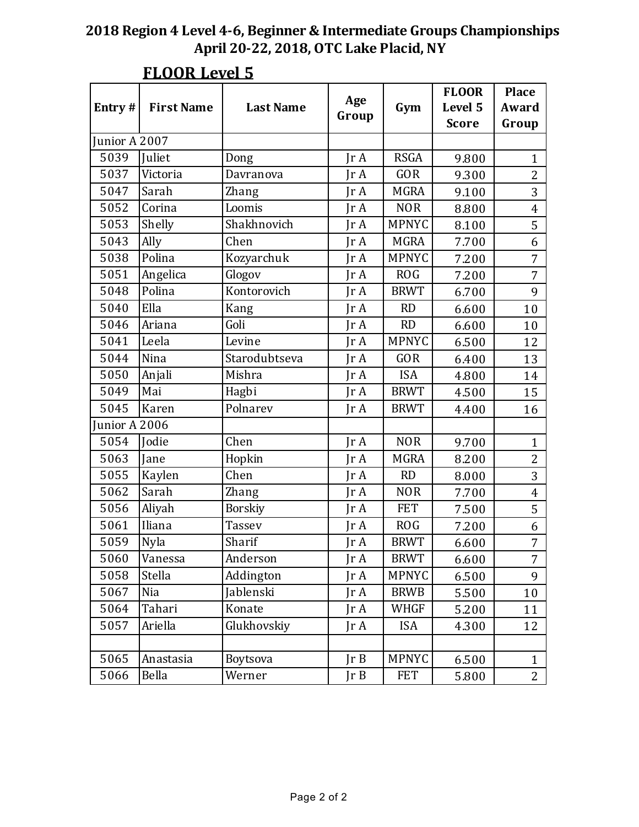|               |                   | <b>Last Name</b> | Age                     |              | <b>FLOOR</b><br>Level 5 | <b>Place</b><br>Award |
|---------------|-------------------|------------------|-------------------------|--------------|-------------------------|-----------------------|
| Entry#        | <b>First Name</b> |                  | Group                   | Gym          | <b>Score</b>            | Group                 |
| Junior A 2007 |                   |                  |                         |              |                         |                       |
| 5039          | Juliet            | Dong             | $\text{Tr } \mathbf{A}$ | <b>RSGA</b>  | 9.800                   | $\mathbf{1}$          |
| 5037          | Victoria          | Davranova        | IrA                     | <b>GOR</b>   | 9.300                   | $\overline{2}$        |
| 5047          | Sarah             | Zhang            | $\text{Tr }A$           | <b>MGRA</b>  | 9.100                   | 3                     |
| 5052          | Corina            | Loomis           | $\text{Tr }A$           | <b>NOR</b>   | 8.800                   | $\overline{4}$        |
| 5053          | Shelly            | Shakhnovich      | IrA                     | <b>MPNYC</b> | 8.100                   | 5                     |
| 5043          | Ally              | Chen             | $\text{Tr }A$           | <b>MGRA</b>  | 7.700                   | 6                     |
| 5038          | Polina            | Kozyarchuk       | $\text{Tr }A$           | <b>MPNYC</b> | 7.200                   | $\overline{7}$        |
| 5051          | Angelica          | Glogov           | IrA                     | <b>ROG</b>   | 7.200                   | 7                     |
| 5048          | Polina            | Kontorovich      | $\text{Tr }A$           | <b>BRWT</b>  | 6.700                   | 9                     |
| 5040          | Ella              | Kang             | $\text{Tr }A$           | <b>RD</b>    | 6.600                   | 10                    |
| 5046          | Ariana            | Goli             | IrA                     | <b>RD</b>    | 6.600                   | 10                    |
| 5041          | Leela             | Levine           | $\text{Tr }A$           | <b>MPNYC</b> | 6.500                   | 12                    |
| 5044          | Nina              | Starodubtseva    | $\text{Tr }A$           | GOR          | 6.400                   | 13                    |
| 5050          | Anjali            | Mishra           | IrA                     | <b>ISA</b>   | 4.800                   | 14                    |
| 5049          | Mai               | Hagbi            | $\text{Tr }A$           | <b>BRWT</b>  | 4.500                   | 15                    |
| 5045          | Karen             | Polnarev         | IrA                     | <b>BRWT</b>  | 4.400                   | 16                    |
| unior A 2006  |                   |                  |                         |              |                         |                       |
| 5054          | Jodie             | Chen             | JrA                     | <b>NOR</b>   | 9.700                   | $\mathbf{1}$          |
| 5063          | Jane              | Hopkin           | $\text{Tr }A$           | <b>MGRA</b>  | 8.200                   | $\overline{2}$        |
| 5055          | Kaylen            | Chen             | IrA                     | <b>RD</b>    | 8.000                   | 3                     |
| 5062          | Sarah             | Zhang            | $\text{Tr }A$           | <b>NOR</b>   | 7.700                   | $\overline{4}$        |
| 5056          | Aliyah            | <b>Borskiy</b>   | $\text{Tr }A$           | <b>FET</b>   | 7.500                   | 5                     |
| 5061          | Iliana            | <b>Tassev</b>    | JrA                     | <b>ROG</b>   | 7.200                   | 6                     |
| 5059          | Nyla              | Sharif           | IrA                     | <b>BRWT</b>  | 6.600                   | $\overline{7}$        |
| 5060          | Vanessa           | Anderson         | JrA                     | <b>BRWT</b>  | 6.600                   | $\overline{7}$        |
| 5058          | <b>Stella</b>     | Addington        | JrA                     | <b>MPNYC</b> | 6.500                   | 9                     |
| 5067          | Nia               | Jablenski        | JrA                     | <b>BRWB</b>  | 5.500                   | 10                    |
| 5064          | Tahari            | Konate           | JrA                     | WHGF         | 5.200                   | 11                    |
| 5057          | Ariella           | Glukhovskiy      | JrA                     | <b>ISA</b>   | 4.300                   | 12                    |
|               |                   |                  |                         |              |                         |                       |
| 5065          | Anastasia         | Boytsova         | JrB                     | <b>MPNYC</b> | 6.500                   | $\mathbf{1}$          |
| 5066          | Bella             | Werner           | JrB                     | <b>FET</b>   | 5.800                   | $\mathbf{2}$          |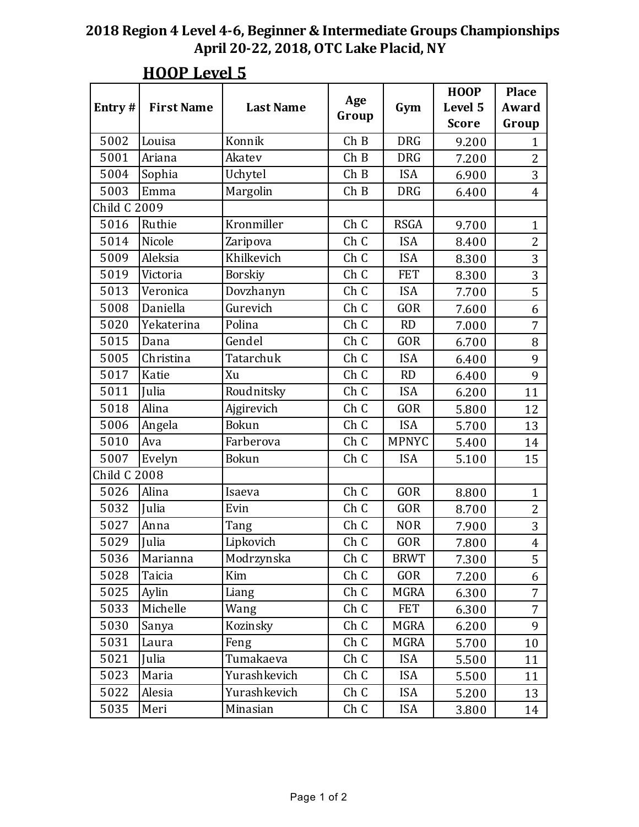|                     |                   |                  |              |              | <b>HOOP</b>  | <b>Place</b>   |
|---------------------|-------------------|------------------|--------------|--------------|--------------|----------------|
| Entry#              | <b>First Name</b> | <b>Last Name</b> | Age<br>Group | Gym          | Level 5      | Award          |
|                     |                   |                  |              |              | <b>Score</b> | Group          |
| 5002                | Louisa            | Konnik           | ChB          | <b>DRG</b>   | 9.200        | 1              |
| 5001                | Ariana            | Akatev           | ChB          | <b>DRG</b>   | 7.200        | $\overline{2}$ |
| 5004                | Sophia            | Uchytel          | ChB          | <b>ISA</b>   | 6.900        | $\overline{3}$ |
| 5003                | Emma              | Margolin         | ChB          | <b>DRG</b>   | 6.400        | $\overline{4}$ |
| <b>Child C 2009</b> |                   |                  |              |              |              |                |
| 5016                | Ruthie            | Kronmiller       | Ch C         | <b>RSGA</b>  | 9.700        | $\mathbf{1}$   |
| 5014                | Nicole            | Zaripova         | Ch C         | <b>ISA</b>   | 8.400        | $\overline{2}$ |
| 5009                | Aleksia           | Khilkevich       | Ch C         | <b>ISA</b>   | 8.300        | 3              |
| 5019                | Victoria          | <b>Borskiy</b>   | Ch C         | <b>FET</b>   | 8.300        | 3              |
| 5013                | Veronica          | Dovzhanyn        | Ch C         | <b>ISA</b>   | 7.700        | 5              |
| 5008                | Daniella          | Gurevich         | Ch C         | <b>GOR</b>   | 7.600        | 6              |
| 5020                | Yekaterina        | Polina           | Ch C         | <b>RD</b>    | 7.000        | 7              |
| 5015                | Dana              | Gendel           | Ch C         | <b>GOR</b>   | 6.700        | 8              |
| 5005                | Christina         | Tatarchuk        | Ch C         | <b>ISA</b>   | 6.400        | 9              |
| 5017                | Katie             | Xu               | Ch C         | <b>RD</b>    | 6.400        | 9              |
| 5011                | Julia             | Roudnitsky       | Ch C         | <b>ISA</b>   | 6.200        | 11             |
| 5018                | Alina             | Ajgirevich       | Ch C         | <b>GOR</b>   | 5.800        | 12             |
| 5006                | Angela            | Bokun            | Ch C         | <b>ISA</b>   | 5.700        | 13             |
| 5010                | Ava               | Farberova        | Ch C         | <b>MPNYC</b> | 5.400        | 14             |
| 5007                | Evelyn            | <b>Bokun</b>     | Ch C         | <b>ISA</b>   | 5.100        | 15             |
| <b>Child C 2008</b> |                   |                  |              |              |              |                |
| 5026                | Alina             | Isaeva           | Ch C         | <b>GOR</b>   | 8.800        | $\mathbf{1}$   |
| 5032                | Julia             | Evin             | Ch C         | <b>GOR</b>   | 8.700        | $\overline{2}$ |
| 5027                | Anna              | Tang             | Ch C         | <b>NOR</b>   | 7.900        | 3              |
| 5029                | Julia             | Lipkovich        | Ch C         | <b>GOR</b>   | 7.800        | $\overline{4}$ |
| 5036                | Marianna          | Modrzynska       | Ch C         | <b>BRWT</b>  | 7.300        | 5              |
| 5028                | Taicia            | Kim              | Ch C         | GOR          | 7.200        | 6              |
| 5025                | Aylin             | Liang            | Ch C         | <b>MGRA</b>  | 6.300        | 7              |
| 5033                | Michelle          | Wang             | Ch C         | <b>FET</b>   | 6.300        | $\overline{7}$ |
| 5030                | Sanya             | Kozinsky         | Ch C         | MGRA         | 6.200        | 9              |
| 5031                | Laura             | Feng             | Ch C         | MGRA         | 5.700        | 10             |
| 5021                | Julia             | Tumakaeva        | Ch C         | <b>ISA</b>   | 5.500        | 11             |
| 5023                | Maria             | Yurashkevich     | Ch C         | <b>ISA</b>   | 5.500        | 11             |
| 5022                | Alesia            | Yurashkevich     | Ch C         | <b>ISA</b>   | 5.200        | 13             |
| 5035                | Meri              | Minasian         | Ch C         | <b>ISA</b>   | 3.800        | 14             |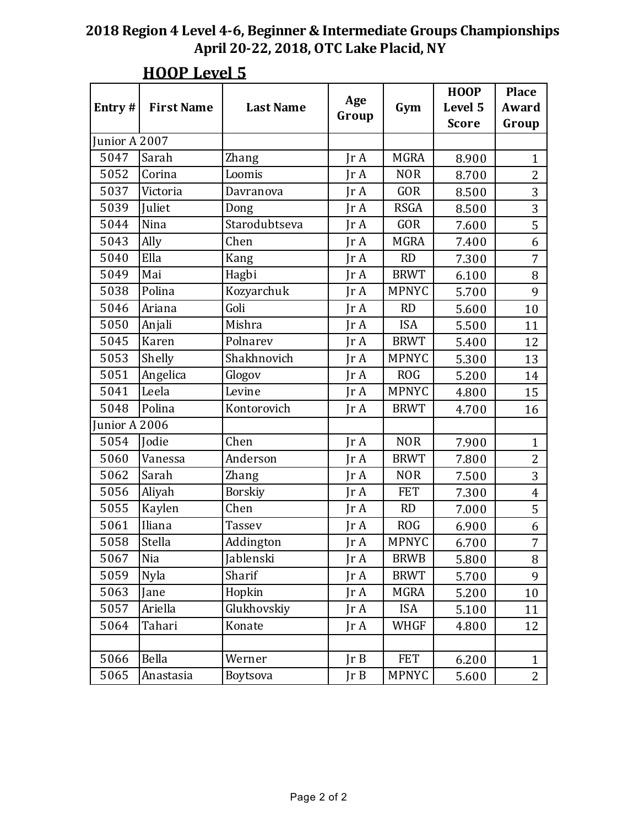|               |                   |                  | Age           |              | <b>HOOP</b>  | <b>Place</b>   |
|---------------|-------------------|------------------|---------------|--------------|--------------|----------------|
| Entry#        | <b>First Name</b> | <b>Last Name</b> | Group         | Gym          | Level 5      | Award          |
|               |                   |                  |               |              | <b>Score</b> | Group          |
| Junior A 2007 |                   |                  |               |              |              |                |
| 5047          | Sarah             | <b>Zhang</b>     | $\text{Tr }A$ | <b>MGRA</b>  | 8.900        | $\mathbf{1}$   |
| 5052          | Corina            | Loomis           | IrA           | <b>NOR</b>   | 8.700        | $\overline{2}$ |
| 5037          | Victoria          | Davranova        | Jr A          | <b>GOR</b>   | 8.500        | 3              |
| 5039          | Juliet            | Dong             | IrA           | <b>RSGA</b>  | 8.500        | 3              |
| 5044          | Nina              | Starodubtseva    | IrA           | <b>GOR</b>   | 7.600        | 5              |
| 5043          | Ally              | Chen             | $\text{Tr }A$ | <b>MGRA</b>  | 7.400        | 6              |
| 5040          | Ella              | Kang             | $\text{Tr }A$ | <b>RD</b>    | 7.300        | $\overline{7}$ |
| 5049          | Mai               | Hagbi            | IrA           | <b>BRWT</b>  | 6.100        | 8              |
| 5038          | Polina            | Kozyarchuk       | IrA           | <b>MPNYC</b> | 5.700        | 9              |
| 5046          | Ariana            | Goli             | $\text{Tr }A$ | <b>RD</b>    | 5.600        | 10             |
| 5050          | Anjali            | Mishra           | IrA           | <b>ISA</b>   | 5.500        | 11             |
| 5045          | Karen             | Polnarev         | IrA           | <b>BRWT</b>  | 5.400        | 12             |
| 5053          | Shelly            | Shakhnovich      | $\text{Tr }A$ | <b>MPNYC</b> | 5.300        | 13             |
| 5051          | Angelica          | Glogov           | IrA           | <b>ROG</b>   | 5.200        | 14             |
| 5041          | Leela             | Levine           | $\text{Tr }A$ | <b>MPNYC</b> | 4.800        | 15             |
| 5048          | Polina            | Kontorovich      | $\text{Tr }A$ | <b>BRWT</b>  | 4.700        | 16             |
| Junior A 2006 |                   |                  |               |              |              |                |
| 5054          | Jodie             | Chen             | JrA           | <b>NOR</b>   | 7.900        | $\mathbf{1}$   |
| 5060          | Vanessa           | Anderson         | IrA           | <b>BRWT</b>  | 7.800        | $\overline{2}$ |
| 5062          | Sarah             | Zhang            | IrA           | <b>NOR</b>   | 7.500        | 3              |
| 5056          | Aliyah            | <b>Borskiy</b>   | IrA           | <b>FET</b>   | 7.300        | $\overline{4}$ |
| 5055          | Kaylen            | Chen             | $\text{Tr }A$ | RD           | 7.000        | 5              |
| 5061          | Iliana            | <b>Tassev</b>    | Jr A          | <b>ROG</b>   | 6.900        | 6              |
| 5058          | Stella            | Addington        | IrA           | <b>MPNYC</b> | 6.700        | $\overline{7}$ |
| 5067          | Nia               | Jablenski        | JrA           | <b>BRWB</b>  | 5.800        | 8              |
| 5059          | Nyla              | Sharif           | IrA           | <b>BRWT</b>  | 5.700        | 9              |
| 5063          | Jane              | Hopkin           | JrA           | MGRA         | 5.200        | 10             |
| 5057          | Ariella           | Glukhovskiy      | JrA           | <b>ISA</b>   | 5.100        | 11             |
| 5064          | Tahari            | Konate           | Jr A          | <b>WHGF</b>  | 4.800        | 12             |
|               |                   |                  |               |              |              |                |
| 5066          | Bella             | Werner           | JrB           | <b>FET</b>   | 6.200        | $\mathbf{1}$   |
| 5065          | Anastasia         | Boytsova         | JrB           | <b>MPNYC</b> | 5.600        | $\overline{2}$ |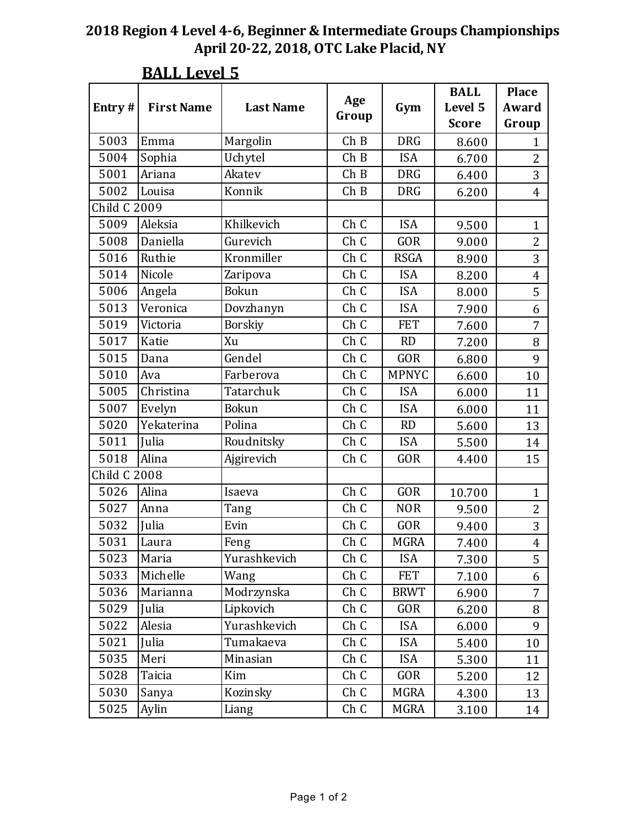|                |                   | <b>Last Name</b> | Age   |              | <b>BALL</b><br>Level 5 | <b>Place</b><br>Award |
|----------------|-------------------|------------------|-------|--------------|------------------------|-----------------------|
| Entry#         | <b>First Name</b> |                  | Group | Gym          | <b>Score</b>           | Group                 |
| 5003           | Emma              | Margolin         | ChB   | <b>DRG</b>   | 8.600                  | $\mathbf{1}$          |
| 5004           | Sophia            | Uchytel          | ChB   | <b>ISA</b>   | 6.700                  | $\overline{2}$        |
| 5001           | Ariana            | Akatev           | ChB   | <b>DRG</b>   | 6.400                  | 3                     |
| 5002           | Louisa            | Konnik           | ChB   | <b>DRG</b>   | 6.200                  | $\overline{4}$        |
| Child C $2009$ |                   |                  |       |              |                        |                       |
| 5009           | Aleksia           | Khilkevich       | Ch C  | <b>ISA</b>   | 9.500                  | $\mathbf{1}$          |
| 5008           | Daniella          | Gurevich         | Ch C  | GOR          | 9.000                  | $\overline{2}$        |
| 5016           | Ruthie            | Kronmiller       | Ch C  | <b>RSGA</b>  | 8.900                  | $\overline{3}$        |
| 5014           | Nicole            | Zaripova         | Ch C  | <b>ISA</b>   | 8.200                  | $\overline{4}$        |
| 5006           | Angela            | Bokun            | Ch C  | <b>ISA</b>   | 8.000                  | 5                     |
| 5013           | Veronica          | Dovzhanyn        | Ch C  | <b>ISA</b>   | 7.900                  | 6                     |
| 5019           | Victoria          | <b>Borskiy</b>   | Ch C  | <b>FET</b>   | 7.600                  | $\overline{7}$        |
| 5017           | Katie             | Xu               | Ch C  | <b>RD</b>    | 7.200                  | 8                     |
| 5015           | Dana              | Gendel           | Ch C  | <b>GOR</b>   | 6.800                  | 9                     |
| 5010           | Ava               | Farberova        | Ch C  | <b>MPNYC</b> | 6.600                  | 10                    |
| 5005           | Christina         | Tatarchuk        | Ch C  | <b>ISA</b>   | 6.000                  | 11                    |
| 5007           | Evelyn            | <b>Bokun</b>     | Ch C  | <b>ISA</b>   | 6.000                  | 11                    |
| 5020           | Yekaterina        | Polina           | Ch C  | <b>RD</b>    | 5.600                  | 13                    |
| 5011           | Julia             | Roudnitsky       | Ch C  | <b>ISA</b>   | 5.500                  | 14                    |
| 5018           | Alina             | Ajgirevich       | Ch C  | <b>GOR</b>   | 4.400                  | 15                    |
| Child C 2008   |                   |                  |       |              |                        |                       |
| 5026           | Alina             | Isaeva           | Ch C  | <b>GOR</b>   | 10.700                 | $\mathbf{1}$          |
| 5027           | Anna              | Tang             | Ch C  | <b>NOR</b>   | 9.500                  | $\overline{2}$        |
| 5032           | Julia             | Evin             | Ch C  | <b>GOR</b>   | 9.400                  | 3                     |
| 5031           | Laura             | Feng             | Ch C  | <b>MGRA</b>  | 7.400                  | $\overline{4}$        |
| 5023           | Maria             | Yurashkevich     | Ch C  | <b>ISA</b>   | 7.300                  | 5                     |
| 5033           | Michelle          | Wang             | Ch C  | <b>FET</b>   | 7.100                  | 6                     |
| 5036           | Marianna          | Modrzynska       | Ch C  | <b>BRWT</b>  | 6.900                  | $\overline{7}$        |
| 5029           | Julia             | Lipkovich        | Ch C  | GOR          | 6.200                  | 8                     |
| 5022           | Alesia            | Yurashkevich     | Ch C  | <b>ISA</b>   | 6.000                  | 9                     |
| 5021           | Julia             | Tumakaeva        | Ch C  | <b>ISA</b>   | 5.400                  | 10                    |
| 5035           | Meri              | Minasian         | Ch C  | <b>ISA</b>   | 5.300                  | 11                    |
| 5028           | Taicia            | Kim              | Ch C  | GOR          | 5.200                  | 12                    |
| 5030           | Sanya             | Kozinsky         | Ch C  | MGRA         | 4.300                  | 13                    |
| 5025           | Aylin             | Liang            | Ch C  | MGRA         | 3.100                  | 14                    |

## **BALL Level 5**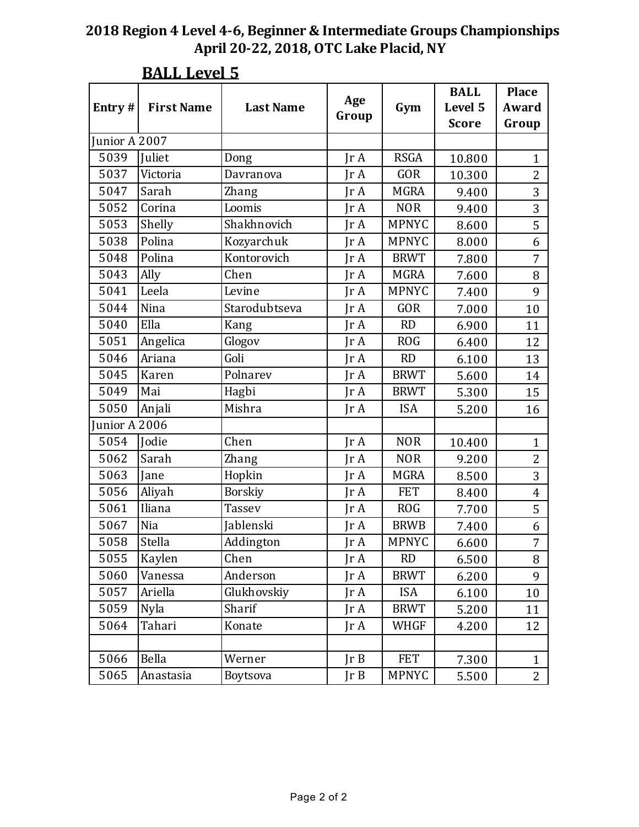|               |                   |                  |                         |              | <b>BALL</b>  | <b>Place</b>   |
|---------------|-------------------|------------------|-------------------------|--------------|--------------|----------------|
| Entry #       | <b>First Name</b> | <b>Last Name</b> | Age                     | Gym          | Level 5      | Award          |
|               |                   |                  | Group                   |              | <b>Score</b> | Group          |
| Junior A 2007 |                   |                  |                         |              |              |                |
| 5039          | Juliet            | Dong             | $\text{Tr } \mathbf{A}$ | <b>RSGA</b>  | 10.800       | $\mathbf{1}$   |
| 5037          | Victoria          | Davranova        | Jr A                    | <b>GOR</b>   | 10.300       | $\overline{2}$ |
| 5047          | Sarah             | Zhang            | $\text{Tr }A$           | <b>MGRA</b>  | 9.400        | 3              |
| 5052          | Corina            | Loomis           | $\text{Tr } \mathbf{A}$ | <b>NOR</b>   | 9.400        | 3              |
| 5053          | Shelly            | Shakhnovich      | Jr A                    | <b>MPNYC</b> | 8.600        | 5              |
| 5038          | Polina            | Kozyarchuk       | Jr A                    | <b>MPNYC</b> | 8.000        | 6              |
| 5048          | Polina            | Kontorovich      | Ir A                    | <b>BRWT</b>  | 7.800        | 7              |
| 5043          | Ally              | Chen             | Jr A                    | <b>MGRA</b>  | 7.600        | $\, 8$         |
| 5041          | Leela             | Levine           | Jr A                    | <b>MPNYC</b> | 7.400        | 9              |
| 5044          | Nina              | Starodubtseva    | IrA                     | <b>GOR</b>   | 7.000        | 10             |
| 5040          | Ella              | Kang             | Jr A                    | <b>RD</b>    | 6.900        | 11             |
| 5051          | Angelica          | Glogov           | Jr A                    | <b>ROG</b>   | 6.400        | 12             |
| 5046          | Ariana            | Goli             | $\text{Tr } \mathbf{A}$ | RD           | 6.100        | 13             |
| 5045          | Karen             | Polnarev         | Jr A                    | <b>BRWT</b>  | 5.600        | 14             |
| 5049          | Mai               | Hagbi            | $\text{Tr }A$           | <b>BRWT</b>  | 5.300        | 15             |
| 5050          | Anjali            | Mishra           | $\text{Tr }A$           | <b>ISA</b>   | 5.200        | 16             |
| unior A 2006  |                   |                  |                         |              |              |                |
| 5054          | Jodie             | Chen             | $\text{Tr }A$           | <b>NOR</b>   | 10.400       | $\mathbf{1}$   |
| 5062          | Sarah             | <b>Zhang</b>     | $\text{Tr } \mathbf{A}$ | <b>NOR</b>   | 9.200        | $\overline{2}$ |
| 5063          | Jane              | Hopkin           | Jr A                    | <b>MGRA</b>  | 8.500        | 3              |
| 5056          | Aliyah            | <b>Borskiy</b>   | $\text{Tr }A$           | <b>FET</b>   | 8.400        | $\overline{4}$ |
| 5061          | Iliana            | <b>Tassev</b>    | IrA                     | <b>ROG</b>   | 7.700        | 5              |
| 5067          | Nia               | Jablenski        | Jr A                    | <b>BRWB</b>  | 7.400        | 6              |
| 5058          | Stella            | Addington        | Jr A                    | <b>MPNYC</b> | 6.600        | $\overline{7}$ |
| 5055          | Kaylen            | Chen             | $\text{Tr }A$           | RD           | 6.500        | 8              |
| 5060          | Vanessa           | Anderson         | JrA                     | <b>BRWT</b>  | 6.200        | 9              |
| 5057          | Ariella           | Glukhovskiy      | Jr A                    | <b>ISA</b>   | 6.100        | 10             |
| 5059          | <b>Nyla</b>       | Sharif           | JrA                     | <b>BRWT</b>  | 5.200        | 11             |
| 5064          | Tahari            | Konate           | JrA                     | WHGF         | 4.200        | 12             |
|               |                   |                  |                         |              |              |                |
| 5066          | Bella             | Werner           | JrB                     | <b>FET</b>   | 7.300        | $\mathbf{1}$   |
| 5065          | Anastasia         | Boytsova         | JrB                     | <b>MPNYC</b> | 5.500        | $\overline{2}$ |

## **BALL Level 5**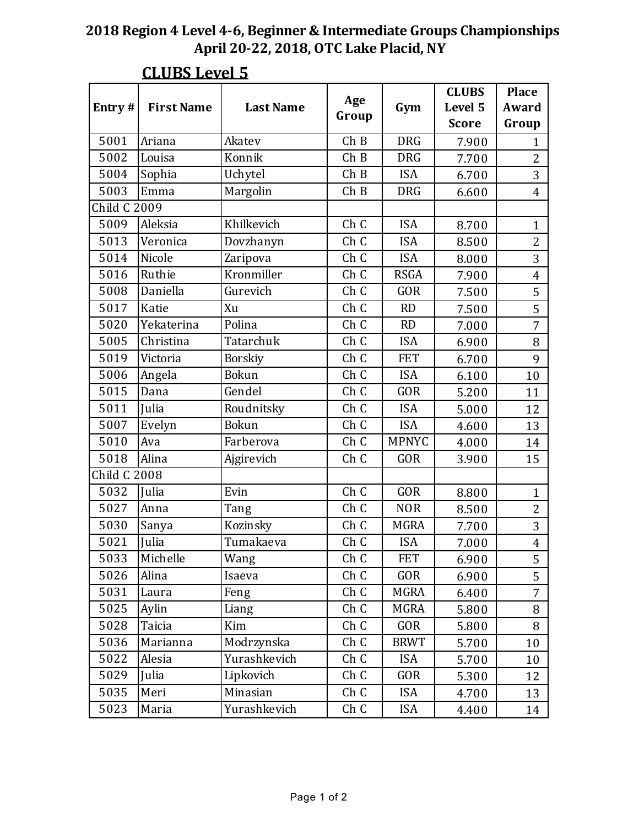| Entry#              | <b>First Name</b> | <b>Last Name</b> | Age   | Gym          | <b>CLUBS</b><br>Level 5 | <b>Place</b><br>Award |
|---------------------|-------------------|------------------|-------|--------------|-------------------------|-----------------------|
|                     |                   |                  | Group |              | <b>Score</b>            | Group                 |
| 5001                | Ariana            | Akatev           | ChB   | <b>DRG</b>   | 7.900                   | $\mathbf{1}$          |
| 5002                | Louisa            | Konnik           | ChB   | <b>DRG</b>   | 7.700                   | $\overline{2}$        |
| 5004                | Sophia            | Uchytel          | ChB   | <b>ISA</b>   | 6.700                   | 3                     |
| 5003                | Emma              | Margolin         | ChB   | <b>DRG</b>   | 6.600                   | $\overline{4}$        |
| <b>Child C 2009</b> |                   |                  |       |              |                         |                       |
| 5009                | Aleksia           | Khilkevich       | Ch C  | <b>ISA</b>   | 8.700                   | $\mathbf{1}$          |
| 5013                | Veronica          | Dovzhanyn        | Ch C  | <b>ISA</b>   | 8.500                   | $\overline{2}$        |
| 5014                | Nicole            | Zaripova         | Ch C  | <b>ISA</b>   | 8.000                   | 3                     |
| 5016                | Ruthie            | Kronmiller       | Ch C  | <b>RSGA</b>  | 7.900                   | $\overline{4}$        |
| 5008                | Daniella          | Gurevich         | Ch C  | <b>GOR</b>   | 7.500                   | 5                     |
| 5017                | Katie             | Xu               | Ch C  | <b>RD</b>    | 7.500                   | 5                     |
| 5020                | Yekaterina        | Polina           | Ch C  | <b>RD</b>    | 7.000                   | $\overline{7}$        |
| 5005                | Christina         | Tatarchuk        | Ch C  | <b>ISA</b>   | 6.900                   | 8                     |
| 5019                | Victoria          | <b>Borskiy</b>   | Ch C  | <b>FET</b>   | 6.700                   | 9                     |
| 5006                | Angela            | <b>Bokun</b>     | Ch C  | <b>ISA</b>   | 6.100                   | 10                    |
| 5015                | Dana              | Gendel           | Ch C  | <b>GOR</b>   | 5.200                   | 11                    |
| 5011                | Julia             | Roudnitsky       | Ch C  | <b>ISA</b>   | 5.000                   | 12                    |
| 5007                | Evelyn            | <b>Bokun</b>     | Ch C  | <b>ISA</b>   | 4.600                   | 13                    |
| 5010                | Ava               | Farberova        | Ch C  | <b>MPNYC</b> | 4.000                   | 14                    |
| 5018                | Alina             | Ajgirevich       | Ch C  | <b>GOR</b>   | 3.900                   | 15                    |
| Child C $2008$      |                   |                  |       |              |                         |                       |
| 5032                | Julia             | Evin             | Ch C  | <b>GOR</b>   | 8.800                   | $\mathbf{1}$          |
| 5027                | Anna              | Tang             | Ch C  | <b>NOR</b>   | 8.500                   | $\overline{2}$        |
| 5030                | Sanya             | Kozinsky         | Ch C  | <b>MGRA</b>  | 7.700                   | 3                     |
| 5021                | Julia             | Tumakaeva        | Ch C  | <b>ISA</b>   | 7.000                   | $\overline{4}$        |
| 5033                | Michelle          | Wang             | Ch C  | <b>FET</b>   | 6.900                   | 5                     |
| 5026                | Alina             | Isaeva           | Ch C  | GOR          | 6.900                   | 5                     |
| 5031                | Laura             | Feng             | Ch C  | MGRA         | 6.400                   | $\overline{7}$        |
| 5025                | Aylin             | Liang            | Ch C  | MGRA         | 5.800                   | 8                     |
| 5028                | Taicia            | Kim              | Ch C  | GOR          | 5.800                   | 8                     |
| 5036                | Marianna          | Modrzynska       | Ch C  | <b>BRWT</b>  | 5.700                   | 10                    |
| 5022                | Alesia            | Yurashkevich     | Ch C  | <b>ISA</b>   | 5.700                   | 10                    |
| 5029                | Julia             | Lipkovich        | Ch C  | GOR          | 5.300                   | 12                    |
| 5035                | Meri              | Minasian         | Ch C  | <b>ISA</b>   | 4.700                   | 13                    |
| 5023                | Maria             | Yurashkevich     | Ch C  | <b>ISA</b>   | 4.400                   | 14                    |

## **CLUBS Level 5**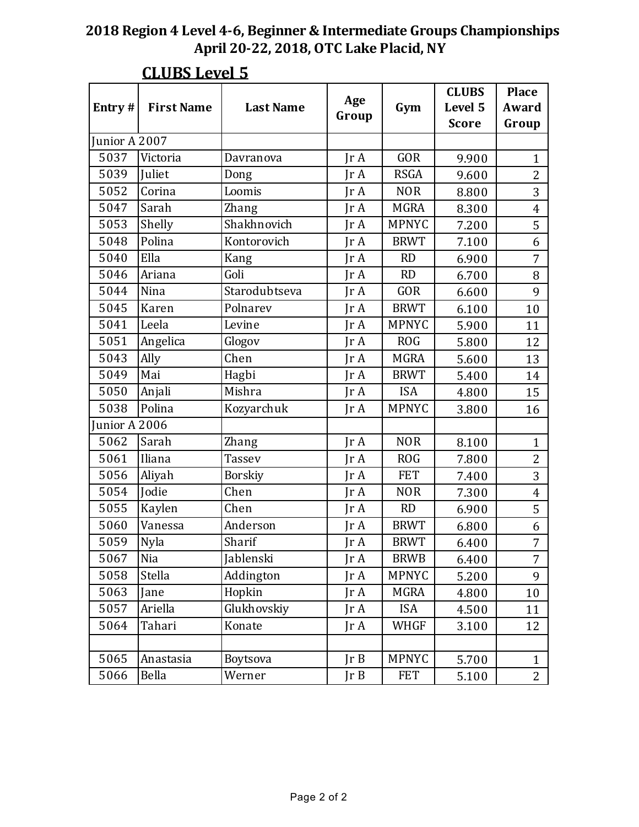| Entry#        | <b>First Name</b> | <b>Last Name</b> | Age           | Gym          | <b>CLUBS</b><br>Level 5 | <b>Place</b><br>Award |
|---------------|-------------------|------------------|---------------|--------------|-------------------------|-----------------------|
|               |                   |                  | Group         |              | <b>Score</b>            | Group                 |
| Junior A 2007 |                   |                  |               |              |                         |                       |
| 5037          | Victoria          | Davranova        | JrA           | <b>GOR</b>   | 9.900                   | $\mathbf{1}$          |
| 5039          | Juliet            | Dong             | $\text{Tr }A$ | <b>RSGA</b>  | 9.600                   | $\overline{2}$        |
| 5052          | Corina            | Loomis           | JrA           | <b>NOR</b>   | 8.800                   | 3                     |
| 5047          | Sarah             | Zhang            | IrA           | <b>MGRA</b>  | 8.300                   | $\overline{4}$        |
| 5053          | Shelly            | Shakhnovich      | $\text{Tr }A$ | <b>MPNYC</b> | 7.200                   | 5                     |
| 5048          | Polina            | Kontorovich      | $\text{Tr }A$ | <b>BRWT</b>  | 7.100                   | 6                     |
| 5040          | Ella              | Kang             | $\text{Tr }A$ | <b>RD</b>    | 6.900                   | $\overline{7}$        |
| 5046          | Ariana            | Goli             | $\text{Tr }A$ | <b>RD</b>    | 6.700                   | 8                     |
| 5044          | Nina              | Starodubtseva    | JrA           | GOR          | 6.600                   | 9                     |
| 5045          | Karen             | Polnarev         | IrA           | <b>BRWT</b>  | 6.100                   | 10                    |
| 5041          | Leela             | Levine           | $\text{Tr }A$ | <b>MPNYC</b> | 5.900                   | 11                    |
| 5051          | Angelica          | Glogov           | JrA           | <b>ROG</b>   | 5.800                   | 12                    |
| 5043          | Ally              | Chen             | IrA           | <b>MGRA</b>  | 5.600                   | 13                    |
| 5049          | Mai               | Hagbi            | $\text{Tr }A$ | <b>BRWT</b>  | 5.400                   | 14                    |
| 5050          | Anjali            | Mishra           | JrA           | <b>ISA</b>   | 4.800                   | 15                    |
| 5038          | Polina            | Kozyarchuk       | $\text{Tr }A$ | <b>MPNYC</b> | 3.800                   | 16                    |
| unior A 2006  |                   |                  |               |              |                         |                       |
| 5062          | Sarah             | <b>Zhang</b>     | JrA           | <b>NOR</b>   | 8.100                   | $\mathbf{1}$          |
| 5061          | Iliana            | <b>Tassev</b>    | IrA           | <b>ROG</b>   | 7.800                   | $\overline{2}$        |
| 5056          | Aliyah            | <b>Borskiy</b>   | $\text{Tr }A$ | <b>FET</b>   | 7.400                   | 3                     |
| 5054          | Jodie             | Chen             | JrA           | <b>NOR</b>   | 7.300                   | $\overline{4}$        |
| 5055          | Kaylen            | Chen             | JrA           | RD           | 6.900                   | 5                     |
| 5060          | Vanessa           | Anderson         | Ir A          | <b>BRWT</b>  | 6.800                   | 6                     |
| 5059          | Nyla              | Sharif           | Jr A          | <b>BRWT</b>  | 6.400                   | $\overline{7}$        |
| 5067          | Nia               | Jablenski        | Jr A          | <b>BRWB</b>  | 6.400                   | $\overline{7}$        |
| 5058          | Stella            | Addington        | JrA           | <b>MPNYC</b> | 5.200                   | 9                     |
| 5063          | Jane              | Hopkin           | JrA           | <b>MGRA</b>  | 4.800                   | 10                    |
| 5057          | Ariella           | Glukhovskiy      | Jr A          | <b>ISA</b>   | 4.500                   | 11                    |
| 5064          | Tahari            | Konate           | JrA           | WHGF         | 3.100                   | 12                    |
|               |                   |                  |               |              |                         |                       |
| 5065          | Anastasia         | Boytsova         | JrB           | <b>MPNYC</b> | 5.700                   | $\mathbf{1}$          |
| 5066          | Bella             | Werner           | JrB           | <b>FET</b>   | 5.100                   | 2 <sup>1</sup>        |

## **CLUBS Level 5**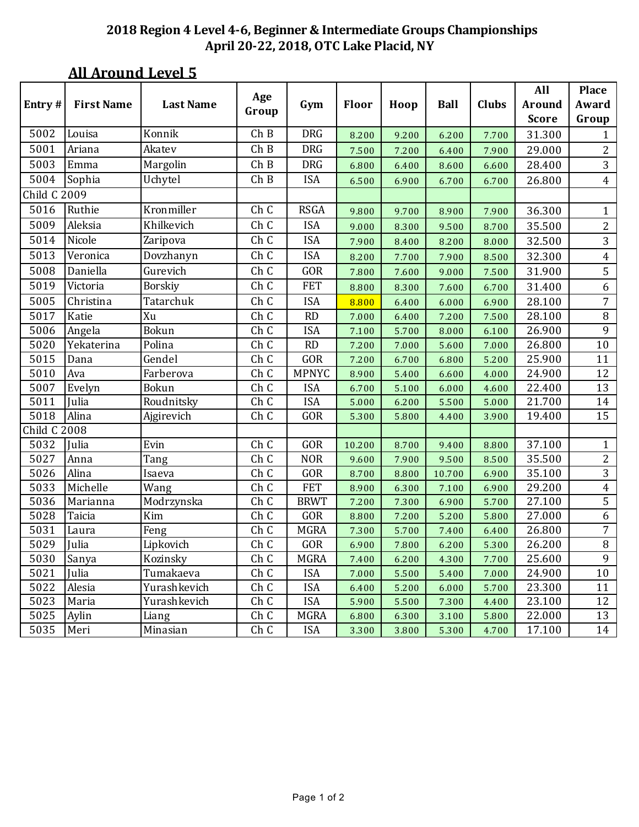|                     |                   |                  |              |              |              |       |             |              | All           | <b>Place</b>   |
|---------------------|-------------------|------------------|--------------|--------------|--------------|-------|-------------|--------------|---------------|----------------|
| Entry#              | <b>First Name</b> | <b>Last Name</b> | Age<br>Group | Gym          | <b>Floor</b> | Hoop  | <b>Ball</b> | <b>Clubs</b> | <b>Around</b> | Award          |
|                     |                   |                  |              |              |              |       |             |              | <b>Score</b>  | Group          |
| 5002                | Louisa            | Konnik           | ChB          | <b>DRG</b>   | 8.200        | 9.200 | 6.200       | 7.700        | 31.300        | 1              |
| 5001                | Ariana            | Akatev           | ChB          | <b>DRG</b>   | 7.500        | 7.200 | 6.400       | 7.900        | 29.000        | 2              |
| 5003                | Emma              | Margolin         | ChB          | <b>DRG</b>   | 6.800        | 6.400 | 8.600       | 6.600        | 28.400        | 3              |
| 5004                | Sophia            | Uchytel          | ChB          | <b>ISA</b>   | 6.500        | 6.900 | 6.700       | 6.700        | 26.800        | $\overline{4}$ |
| <b>Child C 2009</b> |                   |                  |              |              |              |       |             |              |               |                |
| 5016                | Ruthie            | Kronmiller       | Ch C         | <b>RSGA</b>  | 9.800        | 9.700 | 8.900       | 7.900        | 36.300        | $\mathbf{1}$   |
| 5009                | Aleksia           | Khilkevich       | Ch C         | <b>ISA</b>   | 9.000        | 8.300 | 9.500       | 8.700        | 35.500        | 2              |
| 5014                | Nicole            | Zaripova         | Ch C         | <b>ISA</b>   | 7.900        | 8.400 | 8.200       | 8.000        | 32.500        | 3              |
| 5013                | Veronica          | Dovzhanyn        | Ch C         | <b>ISA</b>   | 8.200        | 7.700 | 7.900       | 8.500        | 32.300        | $\overline{4}$ |
| 5008                | Daniella          | Gurevich         | Ch C         | GOR          | 7.800        | 7.600 | 9.000       | 7.500        | 31.900        | 5              |
| 5019                | Victoria          | <b>Borskiy</b>   | Ch C         | <b>FET</b>   | 8.800        | 8.300 | 7.600       | 6.700        | 31.400        | 6              |
| 5005                | Christina         | Tatarchuk        | Ch C         | <b>ISA</b>   | 8.800        | 6.400 | 6.000       | 6.900        | 28.100        | 7              |
| 5017                | Katie             | Xu               | Ch C         | <b>RD</b>    | 7.000        | 6.400 | 7.200       | 7.500        | 28.100        | $\, 8$         |
| 5006                | Angela            | <b>Bokun</b>     | Ch C         | <b>ISA</b>   | 7.100        | 5.700 | 8.000       | 6.100        | 26.900        | 9              |
| 5020                | Yekaterina        | Polina           | Ch C         | <b>RD</b>    | 7.200        | 7.000 | 5.600       | 7.000        | 26.800        | 10             |
| 5015                | Dana              | Gendel           | Ch C         | GOR          | 7.200        | 6.700 | 6.800       | 5.200        | 25.900        | 11             |
| 5010                | Ava               | Farberova        | Ch C         | <b>MPNYC</b> | 8.900        | 5.400 | 6.600       | 4.000        | 24.900        | 12             |
| 5007                | Evelyn            | <b>Bokun</b>     | Ch C         | <b>ISA</b>   | 6.700        | 5.100 | 6.000       | 4.600        | 22.400        | 13             |
| 5011                | Julia             | Roudnitsky       | Ch C         | <b>ISA</b>   | 5.000        | 6.200 | 5.500       | 5.000        | 21.700        | 14             |
| 5018                | Alina             | Ajgirevich       | Ch C         | GOR          | 5.300        | 5.800 | 4.400       | 3.900        | 19.400        | 15             |
| Child C 2008        |                   |                  |              |              |              |       |             |              |               |                |
| 5032                | Julia             | Evin             | Ch C         | GOR          | 10.200       | 8.700 | 9.400       | 8.800        | 37.100        | $\mathbf{1}$   |
| 5027                | Anna              | Tang             | Ch C         | <b>NOR</b>   | 9.600        | 7.900 | 9.500       | 8.500        | 35.500        | $\overline{c}$ |
| 5026                | Alina             | Isaeva           | Ch C         | GOR          | 8.700        | 8.800 | 10.700      | 6.900        | 35.100        | 3              |
| 5033                | Michelle          | Wang             | Ch C         | <b>FET</b>   | 8.900        | 6.300 | 7.100       | 6.900        | 29.200        | 4              |
| 5036                | Marianna          | Modrzynska       | Ch C         | <b>BRWT</b>  | 7.200        | 7.300 | 6.900       | 5.700        | 27.100        | 5              |
| 5028                | Taicia            | $\rm Kim$        | Ch C         | GOR          | 8.800        | 7.200 | 5.200       | 5.800        | 27.000        | 6              |
| 5031                | Laura             | Feng             | Ch C         | <b>MGRA</b>  | 7.300        | 5.700 | 7.400       | 6.400        | 26.800        | 7              |
| 5029                | Julia             | Lipkovich        | Ch C         | GOR          | 6.900        | 7.800 | 6.200       | 5.300        | 26.200        | $\, 8$         |
| 5030                | Sanya             | Kozinsky         | Ch C         | <b>MGRA</b>  | 7.400        | 6.200 | 4.300       | 7.700        | 25.600        | 9              |
| 5021                | Julia             | Tumakaeva        | Ch C         | <b>ISA</b>   | 7.000        | 5.500 | 5.400       | 7.000        | 24.900        | 10             |
| 5022                | Alesia            | Yurashkevich     | Ch C         | <b>ISA</b>   | 6.400        | 5.200 | 6.000       | 5.700        | 23.300        | 11             |
| 5023                | Maria             | Yurashkevich     | Ch C         | <b>ISA</b>   | 5.900        | 5.500 | 7.300       | 4.400        | 23.100        | 12             |
| 5025                | Aylin             | Liang            | Ch C         | <b>MGRA</b>  | 6.800        | 6.300 | 3.100       | 5.800        | 22.000        | 13             |
| 5035                | Meri              | Minasian         | Ch C         | <b>ISA</b>   | 3.300        | 3.800 | 5.300       | 4.700        | 17.100        | 14             |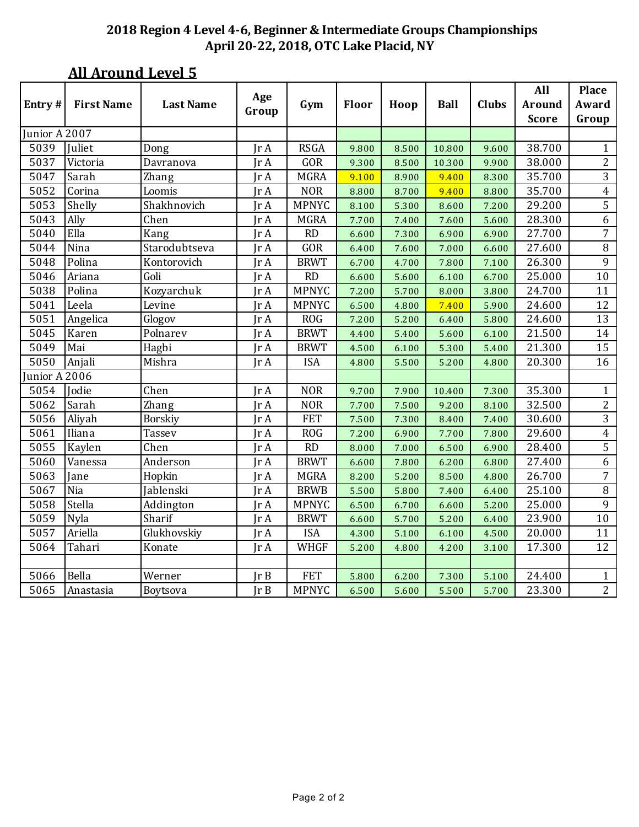|               |                   |                  | Age                          |              |       |       |             |              | All           | <b>Place</b>   |
|---------------|-------------------|------------------|------------------------------|--------------|-------|-------|-------------|--------------|---------------|----------------|
| Entry#        | <b>First Name</b> | <b>Last Name</b> | Group                        | Gym          | Floor | Hoop  | <b>Ball</b> | <b>Clubs</b> | <b>Around</b> | Award          |
|               |                   |                  |                              |              |       |       |             |              | <b>Score</b>  | Group          |
| Junior A 2007 |                   |                  |                              |              |       |       |             |              |               |                |
| 5039          | Juliet            | Dong             | $\mathop{\rm Ir}\nolimits$ A | <b>RSGA</b>  | 9.800 | 8.500 | 10.800      | 9.600        | 38.700        | $\mathbf{1}$   |
| 5037          | Victoria          | Davranova        | Ir A                         | GOR          | 9.300 | 8.500 | 10.300      | 9.900        | 38.000        | $\overline{2}$ |
| 5047          | Sarah             | Zhang            | Jr A                         | <b>MGRA</b>  | 9.100 | 8.900 | 9.400       | 8.300        | 35.700        | 3              |
| 5052          | Corina            | Loomis           | Jr A                         | <b>NOR</b>   | 8.800 | 8.700 | 9.400       | 8.800        | 35.700        | $\overline{4}$ |
| 5053          | Shelly            | Shakhnovich      | Ir A                         | <b>MPNYC</b> | 8.100 | 5.300 | 8.600       | 7.200        | 29.200        | 5              |
| 5043          | Ally              | Chen             | Jr A                         | <b>MGRA</b>  | 7.700 | 7.400 | 7.600       | 5.600        | 28.300        | 6              |
| 5040          | Ella              | Kang             | Jr A                         | <b>RD</b>    | 6.600 | 7.300 | 6.900       | 6.900        | 27.700        | $\overline{7}$ |
| 5044          | Nina              | Starodubtseva    | Jr A                         | GOR          | 6.400 | 7.600 | 7.000       | 6.600        | 27.600        | $\, 8$         |
| 5048          | Polina            | Kontorovich      | Jr A                         | <b>BRWT</b>  | 6.700 | 4.700 | 7.800       | 7.100        | 26.300        | $\overline{9}$ |
| 5046          | Ariana            | Goli             | Jr A                         | <b>RD</b>    | 6.600 | 5.600 | 6.100       | 6.700        | 25.000        | 10             |
| 5038          | Polina            | Kozyarchuk       | Jr A                         | <b>MPNYC</b> | 7.200 | 5.700 | 8.000       | 3.800        | 24.700        | 11             |
| 5041          | Leela             | Levine           | Jr A                         | <b>MPNYC</b> | 6.500 | 4.800 | 7.400       | 5.900        | 24.600        | 12             |
| 5051          | Angelica          | Glogov           | Jr A                         | <b>ROG</b>   | 7.200 | 5.200 | 6.400       | 5.800        | 24.600        | 13             |
| 5045          | Karen             | Polnarev         | Jr A                         | <b>BRWT</b>  | 4.400 | 5.400 | 5.600       | 6.100        | 21.500        | 14             |
| 5049          | Mai               | Hagbi            | Ir A                         | <b>BRWT</b>  | 4.500 | 6.100 | 5.300       | 5.400        | 21.300        | 15             |
| 5050          | Anjali            | Mishra           | Jr A                         | <b>ISA</b>   | 4.800 | 5.500 | 5.200       | 4.800        | 20.300        | 16             |
| Junior A 2006 |                   |                  |                              |              |       |       |             |              |               |                |
| 5054          | Jodie             | Chen             | IrA                          | <b>NOR</b>   | 9.700 | 7.900 | 10.400      | 7.300        | 35.300        | $\mathbf{1}$   |
| 5062          | Sarah             | Zhang            | Jr A                         | <b>NOR</b>   | 7.700 | 7.500 | 9.200       | 8.100        | 32.500        | $\mathbf{2}$   |
| 5056          | Aliyah            | Borskiy          | Jr A                         | <b>FET</b>   | 7.500 | 7.300 | 8.400       | 7.400        | 30.600        | 3              |
| 5061          | Iliana            | Tassev           | Ir A                         | <b>ROG</b>   | 7.200 | 6.900 | 7.700       | 7.800        | 29.600        | 4              |
| 5055          | Kaylen            | Chen             | Jr A                         | RD           | 8.000 | 7.000 | 6.500       | 6.900        | 28.400        | 5              |
| 5060          | Vanessa           | Anderson         | Jr A                         | <b>BRWT</b>  | 6.600 | 7.800 | 6.200       | 6.800        | 27.400        | 6              |
| 5063          | Jane              | Hopkin           | Ir A                         | <b>MGRA</b>  | 8.200 | 5.200 | 8.500       | 4.800        | 26.700        | $\overline{7}$ |
| 5067          | Nia               | Jablenski        | Jr A                         | <b>BRWB</b>  | 5.500 | 5.800 | 7.400       | 6.400        | 25.100        | $\, 8$         |
| 5058          | Stella            | Addington        | Jr A                         | <b>MPNYC</b> | 6.500 | 6.700 | 6.600       | 5.200        | 25.000        | $\overline{9}$ |
| 5059          | Nyla              | Sharif           | Ir A                         | <b>BRWT</b>  | 6.600 | 5.700 | 5.200       | 6.400        | 23.900        | 10             |
| 5057          | Ariella           | Glukhovskiy      | Jr A                         | <b>ISA</b>   | 4.300 | 5.100 | 6.100       | 4.500        | 20.000        | 11             |
| 5064          | Tahari            | Konate           | IrA                          | <b>WHGF</b>  | 5.200 | 4.800 | 4.200       | 3.100        | 17.300        | 12             |
|               |                   |                  |                              |              |       |       |             |              |               |                |
| 5066          | Bella             | Werner           | Ir B                         | <b>FET</b>   | 5.800 | 6.200 | 7.300       | 5.100        | 24.400        | $\mathbf{1}$   |
| 5065          | Anastasia         | Boytsova         | Ir B                         | <b>MPNYC</b> | 6.500 | 5.600 | 5.500       | 5.700        | 23.300        | $\overline{2}$ |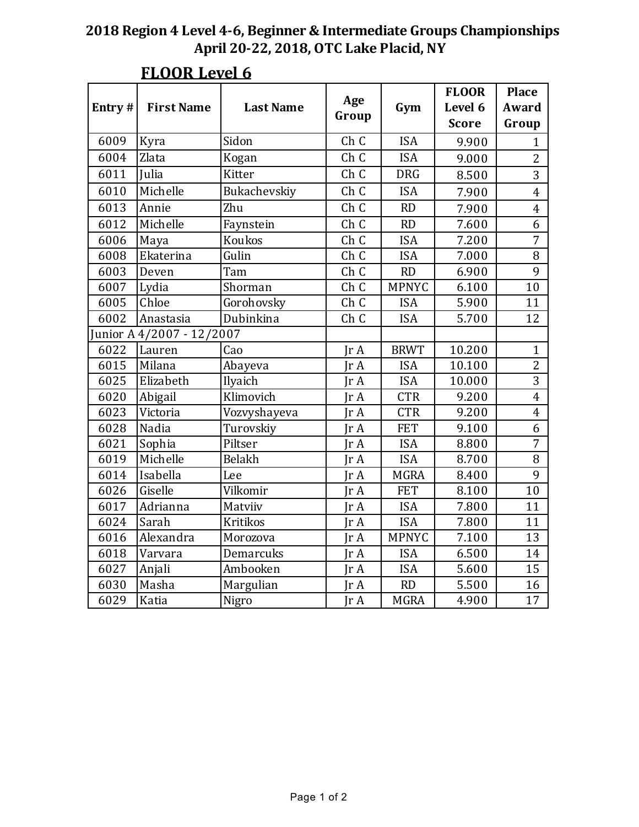| Entry# | <b>First Name</b>         | <b>Last Name</b> | Age<br>Group  | Gym          | <b>FLOOR</b><br>Level 6<br><b>Score</b> | <b>Place</b><br>Award<br>Group |
|--------|---------------------------|------------------|---------------|--------------|-----------------------------------------|--------------------------------|
| 6009   | Kyra                      | Sidon            | Ch C          | <b>ISA</b>   | 9.900                                   | $\mathbf{1}$                   |
| 6004   | Zlata                     | Kogan            | Ch C          | <b>ISA</b>   | 9.000                                   | $\overline{2}$                 |
| 6011   | Julia                     | <b>Kitter</b>    | Ch C          | <b>DRG</b>   | 8.500                                   | 3                              |
| 6010   | Michelle                  | Bukachevskiy     | Ch C          | <b>ISA</b>   | 7.900                                   | $\overline{4}$                 |
| 6013   | Annie                     | Zhu              | Ch C          | RD           | 7.900                                   | $\overline{\mathbf{4}}$        |
| 6012   | Michelle                  | Faynstein        | Ch C          | <b>RD</b>    | 7.600                                   | 6                              |
| 6006   | Maya                      | Koukos           | Ch C          | <b>ISA</b>   | 7.200                                   | $\overline{7}$                 |
| 6008   | Ekaterina                 | Gulin            | Ch C          | <b>ISA</b>   | 7.000                                   | 8                              |
| 6003   | Deven                     | Tam              | Ch C          | RD           | 6.900                                   | 9                              |
| 6007   | Lydia                     | Shorman          | Ch C          | <b>MPNYC</b> | 6.100                                   | 10                             |
| 6005   | Chloe                     | Gorohovsky       | Ch C          | <b>ISA</b>   | 5.900                                   | 11                             |
| 6002   | Anastasia                 | Dubinkina        | Ch C          | <b>ISA</b>   | 5.700                                   | 12                             |
|        | Junior A 4/2007 - 12/2007 |                  |               |              |                                         |                                |
| 6022   | Lauren                    | Cao              | IrA           | <b>BRWT</b>  | 10.200                                  | $\mathbf{1}$                   |
| 6015   | Milana                    | Abayeva          | Ir A          | <b>ISA</b>   | 10.100                                  | $\overline{2}$                 |
| 6025   | Elizabeth                 | Ilyaich          | $\text{Tr }A$ | <b>ISA</b>   | 10.000                                  | 3                              |
| 6020   | Abigail                   | Klimovich        | IrA           | <b>CTR</b>   | 9.200                                   | $\overline{4}$                 |
| 6023   | Victoria                  | Vozvyshayeva     | IrA           | <b>CTR</b>   | 9.200                                   | $\overline{4}$                 |
| 6028   | Nadia                     | Turovskiy        | IrA           | <b>FET</b>   | 9.100                                   | 6                              |
| 6021   | Sophia                    | Piltser          | IrA           | <b>ISA</b>   | 8.800                                   | $\overline{7}$                 |
| 6019   | Michelle                  | Belakh           | IrA           | <b>ISA</b>   | 8.700                                   | 8                              |
| 6014   | Isabella                  | Lee              | IrA           | <b>MGRA</b>  | 8.400                                   | 9                              |
| 6026   | Giselle                   | Vilkomir         | IrA           | <b>FET</b>   | 8.100                                   | 10                             |
| 6017   | Adrianna                  | Matviiv          | IrA           | <b>ISA</b>   | 7.800                                   | 11                             |
| 6024   | Sarah                     | <b>Kritikos</b>  | Ir A          | <b>ISA</b>   | 7.800                                   | 11                             |
| 6016   | Alexandra                 | Morozova         | IrA           | <b>MPNYC</b> | 7.100                                   | 13                             |
| 6018   | Varvara                   | Demarcuks        | IrA           | <b>ISA</b>   | 6.500                                   | 14                             |
| 6027   | Anjali                    | Ambooken         | IrA           | <b>ISA</b>   | 5.600                                   | 15                             |
| 6030   | Masha                     | Margulian        | Ir A          | <b>RD</b>    | 5.500                                   | 16                             |
| 6029   | Katia                     | Nigro            | IrA           | <b>MGRA</b>  | 4.900                                   | 17                             |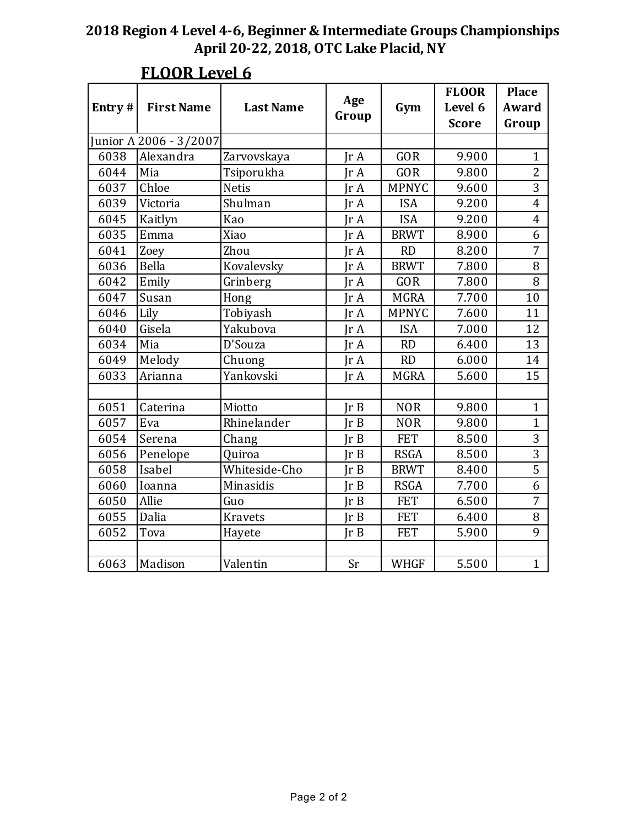| Entry# | <b>First Name</b>      | <b>Last Name</b> | Age<br>Group | Gym          | <b>FLOOR</b><br>Level 6<br><b>Score</b> | <b>Place</b><br>Award<br>Group |
|--------|------------------------|------------------|--------------|--------------|-----------------------------------------|--------------------------------|
|        | Junior A 2006 - 3/2007 |                  |              |              |                                         |                                |
| 6038   | Alexandra              | Zarvovskaya      | IrA          | <b>GOR</b>   | 9.900                                   | $\mathbf{1}$                   |
| 6044   | Mia                    | Tsiporukha       | IrA          | <b>GOR</b>   | 9.800                                   | $\overline{2}$                 |
| 6037   | Chloe                  | <b>Netis</b>     | IrA          | <b>MPNYC</b> | 9.600                                   | 3                              |
| 6039   | Victoria               | Shulman          | Ir $A$       | <b>ISA</b>   | 9.200                                   | $\overline{4}$                 |
| 6045   | Kaitlyn                | Kao              | IrA          | <b>ISA</b>   | 9.200                                   | $\overline{4}$                 |
| 6035   | Emma                   | Xiao             | IrA          | <b>BRWT</b>  | 8.900                                   | 6                              |
| 6041   | Zoey                   | Zhou             | IrA          | <b>RD</b>    | 8.200                                   | $\overline{7}$                 |
| 6036   | Bella                  | Kovalevsky       | IrA          | <b>BRWT</b>  | 7.800                                   | 8                              |
| 6042   | Emily                  | Grinberg         | IrA          | <b>GOR</b>   | 7.800                                   | 8                              |
| 6047   | Susan                  | Hong             | IrA          | <b>MGRA</b>  | 7.700                                   | 10                             |
| 6046   | Lily                   | Tobiyash         | IrA          | <b>MPNYC</b> | 7.600                                   | 11                             |
| 6040   | Gisela                 | Yakubova         | IrA          | <b>ISA</b>   | 7.000                                   | 12                             |
| 6034   | Mia                    | D'Souza          | IrA          | RD           | 6.400                                   | 13                             |
| 6049   | Melody                 | Chuong           | IrA          | <b>RD</b>    | 6.000                                   | 14                             |
| 6033   | Arianna                | Yankovski        | Ir $A$       | <b>MGRA</b>  | 5.600                                   | 15                             |
|        |                        |                  |              |              |                                         |                                |
| 6051   | Caterina               | Miotto           | Ir B         | <b>NOR</b>   | 9.800                                   | $\mathbf{1}$                   |
| 6057   | Eva                    | Rhinelander      | Ir B         | <b>NOR</b>   | 9.800                                   | $\mathbf{1}$                   |
| 6054   | Serena                 | Chang            | Ir B         | <b>FET</b>   | 8.500                                   | $\overline{3}$                 |
| 6056   | Penelope               | Quiroa           | Ir B         | <b>RSGA</b>  | 8.500                                   | $\overline{3}$                 |
| 6058   | Isabel                 | Whiteside-Cho    | Ir B         | <b>BRWT</b>  | 8.400                                   | $\overline{5}$                 |
| 6060   | Ioanna                 | Minasidis        | Ir B         | <b>RSGA</b>  | 7.700                                   | 6                              |
| 6050   | Allie                  | Guo              | Ir B         | <b>FET</b>   | 6.500                                   | $\overline{7}$                 |
| 6055   | Dalia                  | <b>Kravets</b>   | Ir B         | <b>FET</b>   | 6.400                                   | 8                              |
| 6052   | Tova                   | Hayete           | Ir B         | <b>FET</b>   | 5.900                                   | 9                              |
|        |                        |                  |              |              |                                         |                                |
| 6063   | Madison                | Valentin         | Sr           | <b>WHGF</b>  | 5.500                                   | $\mathbf{1}$                   |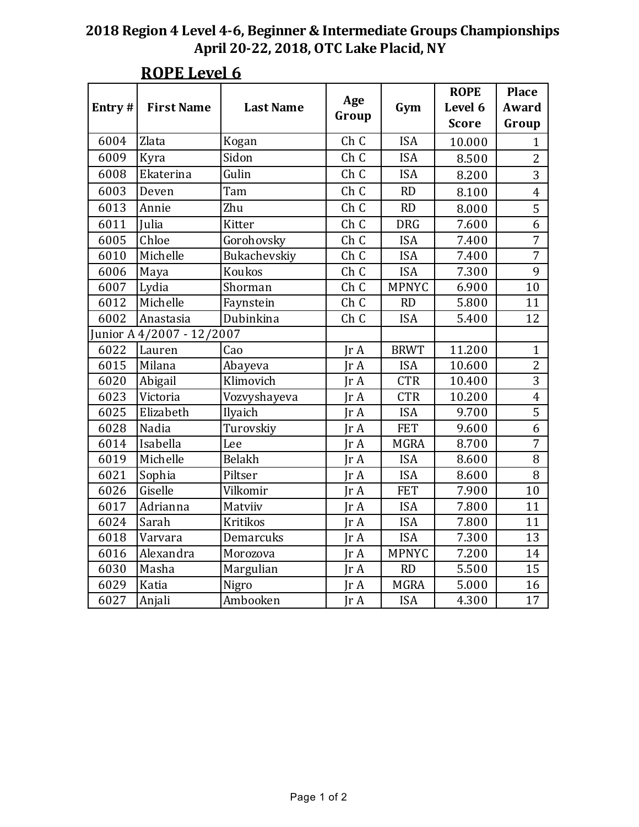| Entry# | <b>First Name</b>         | <b>Last Name</b> | Age<br>Group       | Gym          | <b>ROPE</b><br>Level 6 | <b>Place</b><br>Award |
|--------|---------------------------|------------------|--------------------|--------------|------------------------|-----------------------|
|        |                           |                  |                    |              | <b>Score</b>           | Group                 |
| 6004   | Zlata                     | Kogan            | Ch C               | <b>ISA</b>   | 10.000                 | $\mathbf{1}$          |
| 6009   | Kyra                      | Sidon            | Ch C               | <b>ISA</b>   | 8.500                  | $\overline{2}$        |
| 6008   | Ekaterina                 | Gulin            | Ch C               | <b>ISA</b>   | 8.200                  | 3                     |
| 6003   | Deven                     | Tam              | Ch C               | <b>RD</b>    | 8.100                  | $\overline{4}$        |
| 6013   | Annie                     | Zhu              | Ch C               | RD           | 8.000                  | 5                     |
| 6011   | Julia                     | Kitter           | Ch C               | <b>DRG</b>   | 7.600                  | $\overline{6}$        |
| 6005   | Chloe                     | Gorohovsky       | $\overline{C}$ h C | <b>ISA</b>   | 7.400                  | $\overline{7}$        |
| 6010   | Michelle                  | Bukachevskiy     | Ch C               | <b>ISA</b>   | 7.400                  | $\overline{7}$        |
| 6006   | Maya                      | Koukos           | Ch C               | <b>ISA</b>   | 7.300                  | 9                     |
| 6007   | Lydia                     | Shorman          | Ch C               | <b>MPNYC</b> | 6.900                  | 10                    |
| 6012   | Michelle                  | Faynstein        | Ch C               | <b>RD</b>    | 5.800                  | 11                    |
| 6002   | Anastasia                 | Dubinkina        | Ch C               | <b>ISA</b>   | 5.400                  | 12                    |
|        | Junior A 4/2007 - 12/2007 |                  |                    |              |                        |                       |
| 6022   | Lauren                    | Cao              | IrA                | <b>BRWT</b>  | 11.200                 | $\mathbf{1}$          |
| 6015   | Milana                    | Abayeva          | IrA                | <b>ISA</b>   | 10.600                 | $\overline{2}$        |
| 6020   | Abigail                   | Klimovich        | IrA                | <b>CTR</b>   | 10.400                 | $\overline{3}$        |
| 6023   | Victoria                  | Vozvyshayeva     | IrA                | <b>CTR</b>   | 10.200                 | $\overline{4}$        |
| 6025   | Elizabeth                 | Ilyaich          | IrA                | <b>ISA</b>   | 9.700                  | $\overline{5}$        |
| 6028   | Nadia                     | Turovskiy        | IrA                | <b>FET</b>   | 9.600                  | 6                     |
| 6014   | Isabella                  | Lee              | IrA                | <b>MGRA</b>  | 8.700                  | $\overline{7}$        |
| 6019   | Michelle                  | Belakh           | IrA                | <b>ISA</b>   | 8.600                  | 8                     |
| 6021   | Sophia                    | Piltser          | Jr A               | <b>ISA</b>   | 8.600                  | 8                     |
| 6026   | Giselle                   | Vilkomir         | IrA                | <b>FET</b>   | 7.900                  | 10                    |
| 6017   | Adrianna                  | Matviiv          | Ir A               | <b>ISA</b>   | 7.800                  | 11                    |
| 6024   | Sarah                     | <b>Kritikos</b>  | IrA                | <b>ISA</b>   | 7.800                  | 11                    |
| 6018   | Varvara                   | Demarcuks        | IrA                | <b>ISA</b>   | 7.300                  | 13                    |
| 6016   | Alexandra                 | Morozova         | IrA                | <b>MPNYC</b> | 7.200                  | 14                    |
| 6030   | Masha                     | Margulian        | IrA                | <b>RD</b>    | 5.500                  | 15                    |
| 6029   | Katia                     | Nigro            | Ir A               | <b>MGRA</b>  | 5.000                  | 16                    |
| 6027   | Anjali                    | Ambooken         | IrA                | <b>ISA</b>   | 4.300                  | 17                    |

# **ROPE** Level 6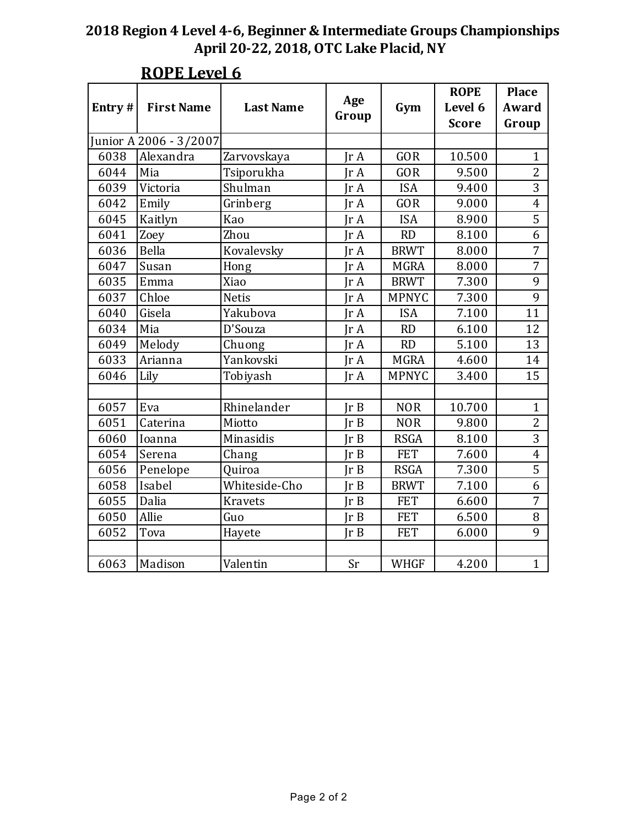| Entry# | <b>First Name</b>      | <b>Last Name</b> | Age<br>Group | Gym          | <b>ROPE</b><br>Level 6<br><b>Score</b> | <b>Place</b><br>Award<br>Group |
|--------|------------------------|------------------|--------------|--------------|----------------------------------------|--------------------------------|
|        | Junior A 2006 - 3/2007 |                  |              |              |                                        |                                |
| 6038   | Alexandra              | Zarvovskaya      | IrA          | <b>GOR</b>   | 10.500                                 | $\mathbf{1}$                   |
| 6044   | Mia                    | Tsiporukha       | IrA          | GOR          | 9.500                                  | $\overline{2}$                 |
| 6039   | Victoria               | Shulman          | IrA          | <b>ISA</b>   | 9.400                                  | 3                              |
| 6042   | Emily                  | Grinberg         | IrA          | GOR          | 9.000                                  | $\overline{\mathbf{4}}$        |
| 6045   | Kaitlyn                | Kao              | IrA          | <b>ISA</b>   | 8.900                                  | $\overline{5}$                 |
| 6041   | Zoey                   | Zhou             | IrA          | RD           | 8.100                                  | 6                              |
| 6036   | Bella                  | Kovalevsky       | IrA          | <b>BRWT</b>  | 8.000                                  | 7                              |
| 6047   | Susan                  | Hong             | IrA          | <b>MGRA</b>  | 8.000                                  | $\overline{7}$                 |
| 6035   | Emma                   | Xiao             | IrA          | <b>BRWT</b>  | 7.300                                  | 9                              |
| 6037   | Chloe                  | <b>Netis</b>     | IrA          | <b>MPNYC</b> | 7.300                                  | 9                              |
| 6040   | Gisela                 | Yakubova         | IrA          | <b>ISA</b>   | 7.100                                  | 11                             |
| 6034   | Mia                    | D'Souza          | IrA          | RD           | 6.100                                  | 12                             |
| 6049   | Melody                 | Chuong           | Ir A         | <b>RD</b>    | 5.100                                  | 13                             |
| 6033   | Arianna                | Yankovski        | IrA          | <b>MGRA</b>  | 4.600                                  | 14                             |
| 6046   | Lily                   | Tobiyash         | IrA          | <b>MPNYC</b> | 3.400                                  | 15                             |
|        |                        |                  |              |              |                                        |                                |
| 6057   | Eva                    | Rhinelander      | Ir B         | <b>NOR</b>   | 10.700                                 | $\mathbf{1}$                   |
| 6051   | Caterina               | Miotto           | Ir B         | <b>NOR</b>   | 9.800                                  | $\overline{c}$                 |
| 6060   | Ioanna                 | Minasidis        | Ir B         | <b>RSGA</b>  | 8.100                                  | $\overline{3}$                 |
| 6054   | Serena                 | Chang            | Ir B         | <b>FET</b>   | 7.600                                  | $\overline{4}$                 |
| 6056   | Penelope               | Quiroa           | Ir B         | <b>RSGA</b>  | 7.300                                  | 5                              |
| 6058   | Isabel                 | Whiteside-Cho    | Ir B         | <b>BRWT</b>  | 7.100                                  | 6                              |
| 6055   | Dalia                  | <b>Kravets</b>   | Ir B         | <b>FET</b>   | 6.600                                  | $\overline{7}$                 |
| 6050   | Allie                  | Guo              | Ir B         | <b>FET</b>   | 6.500                                  | 8                              |
| 6052   | Tova                   | Hayete           | Ir B         | <b>FET</b>   | 6.000                                  | 9                              |
|        |                        |                  |              |              |                                        |                                |
| 6063   | Madison                | Valentin         | Sr           | <b>WHGF</b>  | 4.200                                  | $\mathbf{1}$                   |

# **ROPE** Level 6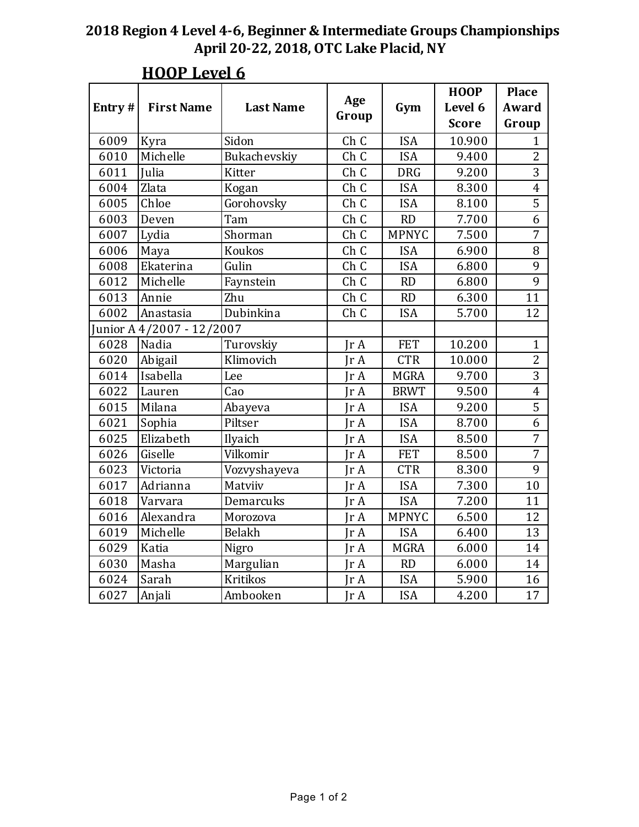| Entry# | <b>First Name</b>        | <b>Last Name</b> | Age           | Gym          | <b>HOOP</b><br>Level 6 | <b>Place</b><br>Award   |
|--------|--------------------------|------------------|---------------|--------------|------------------------|-------------------------|
|        |                          |                  | Group         |              | <b>Score</b>           | Group                   |
| 6009   | Kyra                     | Sidon            | Ch C          | <b>ISA</b>   | 10.900                 | $\mathbf{1}$            |
| 6010   | Michelle                 | Bukachevskiy     | Ch C          | <b>ISA</b>   | 9.400                  | $\overline{2}$          |
| 6011   | <b>Julia</b>             | Kitter           | Ch C          | <b>DRG</b>   | 9.200                  | $\overline{3}$          |
| 6004   | Zlata                    | Kogan            | Ch C          | <b>ISA</b>   | 8.300                  | $\overline{\mathbf{4}}$ |
| 6005   | Chloe                    | Gorohovsky       | Ch C          | <b>ISA</b>   | 8.100                  | $\overline{5}$          |
| 6003   | Deven                    | Tam              | Ch C          | <b>RD</b>    | 7.700                  | 6                       |
| 6007   | Lydia                    | Shorman          | Ch C          | <b>MPNYC</b> | 7.500                  | $\overline{7}$          |
| 6006   | Maya                     | Koukos           | Ch C          | <b>ISA</b>   | 6.900                  | $\, 8$                  |
| 6008   | Ekaterina                | Gulin            | Ch C          | <b>ISA</b>   | 6.800                  | 9                       |
| 6012   | Michelle                 | Faynstein        | Ch C          | <b>RD</b>    | 6.800                  | $\overline{9}$          |
| 6013   | Annie                    | Zhu              | Ch C          | RD           | 6.300                  | 11                      |
| 6002   | Anastasia                | Dubinkina        | Ch C          | <b>ISA</b>   | 5.700                  | 12                      |
|        | Junior A4/2007 - 12/2007 |                  |               |              |                        |                         |
| 6028   | Nadia                    | Turovskiy        | Jr A          | <b>FET</b>   | 10.200                 | $\mathbf{1}$            |
| 6020   | Abigail                  | Klimovich        | IrA           | <b>CTR</b>   | 10.000                 | $\overline{2}$          |
| 6014   | Isabella                 | Lee              | IrA           | <b>MGRA</b>  | 9.700                  | $\overline{3}$          |
| 6022   | Lauren                   | Cao              | Jr A          | <b>BRWT</b>  | 9.500                  | $\overline{\mathbf{4}}$ |
| 6015   | Milana                   | Abayeva          | IrA           | <b>ISA</b>   | 9.200                  | $\overline{5}$          |
| 6021   | Sophia                   | Piltser          | IrA           | <b>ISA</b>   | 8.700                  | 6                       |
| 6025   | Elizabeth                | Ilyaich          | IrA           | <b>ISA</b>   | 8.500                  | $\overline{7}$          |
| 6026   | Giselle                  | Vilkomir         | Jr A          | <b>FET</b>   | 8.500                  | $\overline{7}$          |
| 6023   | Victoria                 | Vozvyshayeva     | IrA           | <b>CTR</b>   | 8.300                  | 9                       |
| 6017   | Adrianna                 | Matviiv          | IrA           | <b>ISA</b>   | 7.300                  | 10                      |
| 6018   | Varvara                  | Demarcuks        | Ir A          | <b>ISA</b>   | 7.200                  | 11                      |
| 6016   | Alexandra                | Morozova         | Ir A          | <b>MPNYC</b> | 6.500                  | 12                      |
| 6019   | Michelle                 | Belakh           | IrA           | <b>ISA</b>   | 6.400                  | 13                      |
| 6029   | Katia                    | Nigro            | IrA           | <b>MGRA</b>  | 6.000                  | 14                      |
| 6030   | Masha                    | Margulian        | IrA           | RD           | 6.000                  | 14                      |
| 6024   | Sarah                    | <b>Kritikos</b>  | Ir A          | <b>ISA</b>   | 5.900                  | 16                      |
| 6027   | Anjali                   | Ambooken         | $\text{Tr }A$ | <b>ISA</b>   | 4.200                  | 17                      |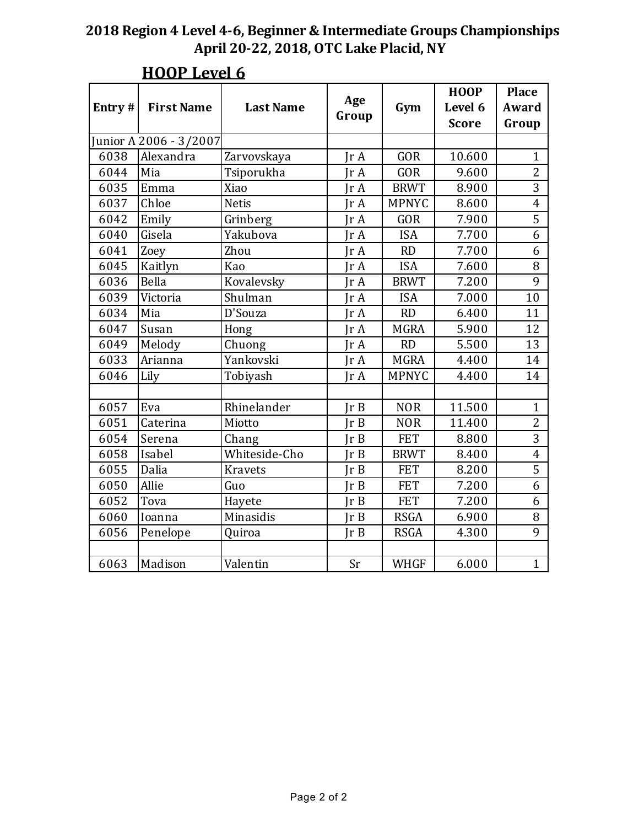| Entry# | <b>First Name</b>      | <b>Last Name</b> | Age<br>Group  | Gym          | <b>HOOP</b><br>Level 6<br><b>Score</b> | <b>Place</b><br>Award<br>Group |
|--------|------------------------|------------------|---------------|--------------|----------------------------------------|--------------------------------|
|        | Junior A 2006 - 3/2007 |                  |               |              |                                        |                                |
| 6038   | Alexandra              | Zarvovskaya      | IrA           | <b>GOR</b>   | 10.600                                 | $\mathbf{1}$                   |
| 6044   | Mia                    | Tsiporukha       | IrA           | GOR          | 9.600                                  | $\overline{2}$                 |
| 6035   | Emma                   | Xiao             | Ir A          | <b>BRWT</b>  | 8.900                                  | $\overline{3}$                 |
| 6037   | Chloe                  | <b>Netis</b>     | IrA           | <b>MPNYC</b> | 8.600                                  | $\overline{\mathbf{4}}$        |
| 6042   | Emily                  | Grinberg         | Ir $A$        | <b>GOR</b>   | 7.900                                  | $\overline{5}$                 |
| 6040   | Gisela                 | Yakubova         | $\text{Tr }A$ | <b>ISA</b>   | 7.700                                  | 6                              |
| 6041   | Zoey                   | Zhou             | IrA           | <b>RD</b>    | 7.700                                  | 6                              |
| 6045   | Kaitlyn                | Kao              | IrA           | <b>ISA</b>   | 7.600                                  | 8                              |
| 6036   | Bella                  | Kovalevsky       | IrA           | <b>BRWT</b>  | 7.200                                  | 9                              |
| 6039   | Victoria               | Shulman          | IrA           | <b>ISA</b>   | 7.000                                  | 10                             |
| 6034   | Mia                    | D'Souza          | Ir A          | RD           | 6.400                                  | 11                             |
| 6047   | Susan                  | Hong             | IrA           | <b>MGRA</b>  | 5.900                                  | 12                             |
| 6049   | Melody                 | Chuong           | IrA           | <b>RD</b>    | 5.500                                  | 13                             |
| 6033   | Arianna                | Yankovski        | $\text{Tr }A$ | <b>MGRA</b>  | 4.400                                  | 14                             |
| 6046   | Lily                   | Tobiyash         | IrA           | <b>MPNYC</b> | 4.400                                  | 14                             |
|        |                        |                  |               |              |                                        |                                |
| 6057   | Eva                    | Rhinelander      | Ir B          | <b>NOR</b>   | 11.500                                 | $\mathbf{1}$                   |
| 6051   | Caterina               | Miotto           | Ir B          | <b>NOR</b>   | 11.400                                 | $\overline{2}$                 |
| 6054   | Serena                 | Chang            | IrB           | <b>FET</b>   | 8.800                                  | $\overline{3}$                 |
| 6058   | Isabel                 | Whiteside-Cho    | IrB           | <b>BRWT</b>  | 8.400                                  | $\overline{\mathbf{4}}$        |
| 6055   | Dalia                  | <b>Kravets</b>   | Ir B          | <b>FET</b>   | 8.200                                  | 5                              |
| 6050   | Allie                  | Guo              | IrB           | <b>FET</b>   | 7.200                                  | 6                              |
| 6052   | Tova                   | Hayete           | Ir B          | <b>FET</b>   | 7.200                                  | 6                              |
| 6060   | Ioanna                 | Minasidis        | IrB           | <b>RSGA</b>  | 6.900                                  | 8                              |
| 6056   | Penelope               | Quiroa           | IrB           | <b>RSGA</b>  | 4.300                                  | 9                              |
|        |                        |                  |               |              |                                        |                                |
| 6063   | Madison                | Valentin         | Sr            | <b>WHGF</b>  | 6.000                                  | $\mathbf{1}$                   |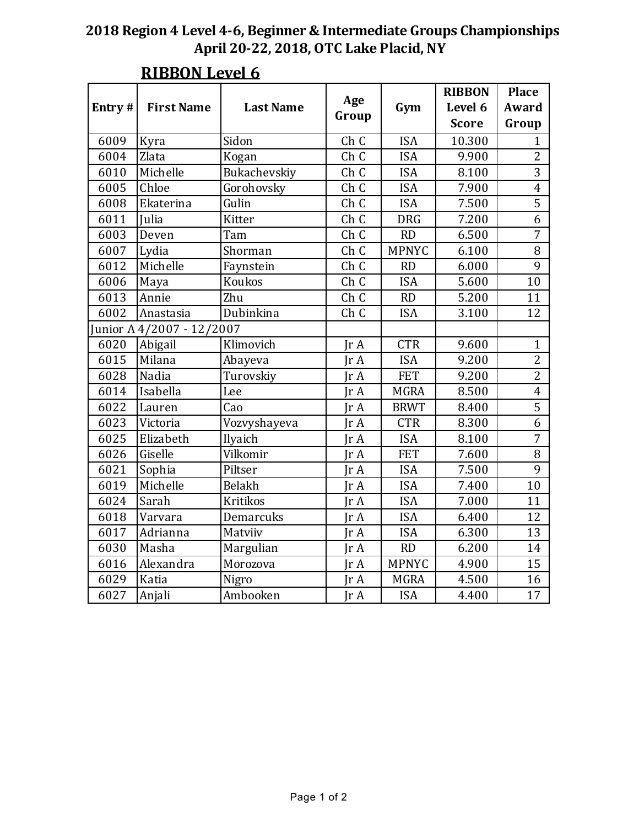|                           |                   |                  |       |              | <b>RIBBON</b> | <b>Place</b>            |
|---------------------------|-------------------|------------------|-------|--------------|---------------|-------------------------|
| Entry#                    | <b>First Name</b> | <b>Last Name</b> | Age   | Gym          | Level 6       | Award                   |
|                           |                   |                  | Group |              | <b>Score</b>  | Group                   |
| 6009                      | Kyra              | Sidon            | Ch C  | <b>ISA</b>   | 10.300        | $\mathbf{1}$            |
| 6004                      | Zlata             | Kogan            | Ch C  | <b>ISA</b>   | 9.900         | $\overline{2}$          |
| 6010                      | Michelle          | Bukachevskiy     | Ch C  | <b>ISA</b>   | 8.100         | $\overline{3}$          |
| 6005                      | Chloe             | Gorohovsky       | Ch C  | <b>ISA</b>   | 7.900         | $\overline{\mathbf{4}}$ |
| 6008                      | Ekaterina         | Gulin            | Ch C  | <b>ISA</b>   | 7.500         | $\overline{5}$          |
| 6011                      | Julia             | Kitter           | Ch C  | <b>DRG</b>   | 7.200         | 6                       |
| 6003                      | Deven             | Tam              | Ch C  | RD           | 6.500         | $\overline{7}$          |
| 6007                      | Lydia             | Shorman          | Ch C  | <b>MPNYC</b> | 6.100         | 8                       |
| 6012                      | Michelle          | Faynstein        | Ch C  | RD           | 6.000         | 9                       |
| 6006                      | Maya              | Koukos           | Ch C  | <b>ISA</b>   | 5.600         | 10                      |
| 6013                      | Annie             | Zhu              | Ch C  | RD           | 5.200         | 11                      |
| 6002                      | Anastasia         | Dubinkina        | Ch C  | <b>ISA</b>   | 3.100         | 12                      |
| Junior A 4/2007 - 12/2007 |                   |                  |       |              |               |                         |
| 6020                      | Abigail           | Klimovich        | IrA   | <b>CTR</b>   | 9.600         | $\mathbf{1}$            |
| 6015                      | Milana            | Abayeva          | IrA   | <b>ISA</b>   | 9.200         | $\overline{c}$          |
| 6028                      | Nadia             | Turovskiy        | Ir A  | <b>FET</b>   | 9.200         | $\overline{2}$          |
| 6014                      | Isabella          | Lee              | IrA   | <b>MGRA</b>  | 8.500         | $\overline{4}$          |
| 6022                      | Lauren            | Cao              | IrA   | <b>BRWT</b>  | 8.400         | $\overline{5}$          |
| 6023                      | Victoria          | Vozvyshayeva     | IrA   | <b>CTR</b>   | 8.300         | 6                       |
| 6025                      | Elizabeth         | Ilyaich          | IrA   | <b>ISA</b>   | 8.100         | $\overline{7}$          |
| 6026                      | Giselle           | Vilkomir         | IrA   | <b>FET</b>   | 7.600         | 8                       |
| 6021                      | Sophia            | Piltser          | IrA   | <b>ISA</b>   | 7.500         | 9                       |
| 6019                      | Michelle          | Belakh           | IrA   | <b>ISA</b>   | 7.400         | 10                      |
| 6024                      | Sarah             | <b>Kritikos</b>  | IrA   | <b>ISA</b>   | 7.000         | 11                      |
| 6018                      | Varvara           | Demarcuks        | IrA   | <b>ISA</b>   | 6.400         | 12                      |
| 6017                      | Adrianna          | Matviiv          | IrA   | <b>ISA</b>   | 6.300         | 13                      |
| 6030                      | Masha             | Margulian        | IrA   | RD           | 6.200         | 14                      |
| 6016                      | Alexandra         | Morozova         | JrA   | <b>MPNYC</b> | 4.900         | 15                      |
| 6029                      | Katia             | Nigro            | IrA   | <b>MGRA</b>  | 4.500         | 16                      |
| 6027                      | Anjali            | Ambooken         | IrA   | <b>ISA</b>   | 4.400         | 17                      |

## **RIBBON Level 6**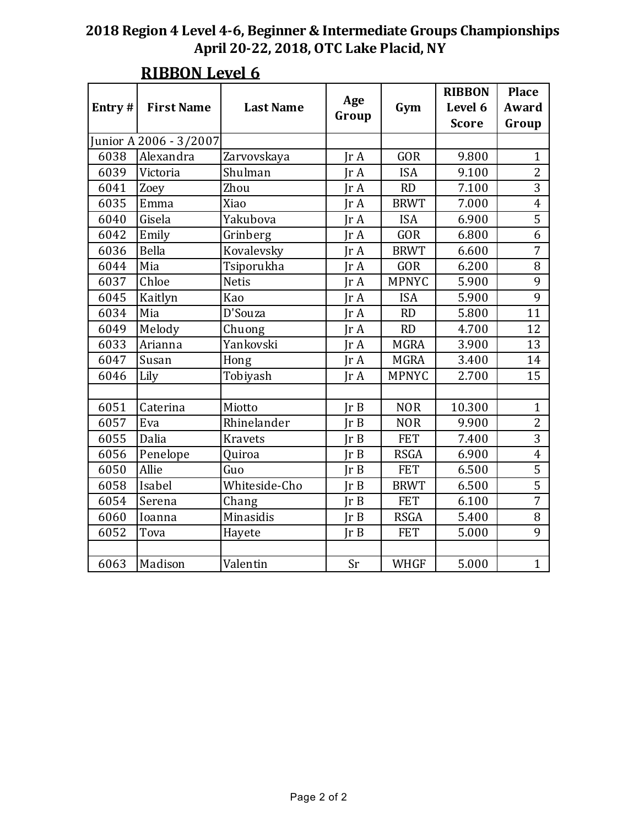| Entry# | <b>First Name</b>      | <b>Last Name</b> | Age<br>Group | Gym          | <b>RIBBON</b><br>Level 6<br><b>Score</b> | <b>Place</b><br>Award<br>Group |
|--------|------------------------|------------------|--------------|--------------|------------------------------------------|--------------------------------|
|        | Junior A 2006 - 3/2007 |                  |              |              |                                          |                                |
| 6038   | Alexandra              | Zarvovskaya      | IrA          | <b>GOR</b>   | 9.800                                    | $\mathbf{1}$                   |
| 6039   | Victoria               | Shulman          | Ir $A$       | <b>ISA</b>   | 9.100                                    | $\overline{2}$                 |
| 6041   | Zoey                   | Zhou             | IrA          | RD           | 7.100                                    | 3                              |
| 6035   | Emma                   | Xiao             | IrA          | <b>BRWT</b>  | 7.000                                    | $\overline{4}$                 |
| 6040   | Gisela                 | Yakubova         | IrA          | <b>ISA</b>   | 6.900                                    | $\overline{5}$                 |
| 6042   | Emily                  | Grinberg         | IrA          | GOR          | 6.800                                    | 6                              |
| 6036   | Bella                  | Kovalevsky       | Ir A         | <b>BRWT</b>  | 6.600                                    | 7                              |
| 6044   | Mia                    | Tsiporukha       | Ir A         | <b>GOR</b>   | 6.200                                    | 8                              |
| 6037   | Chloe                  | <b>Netis</b>     | IrA          | <b>MPNYC</b> | 5.900                                    | 9                              |
| 6045   | Kaitlyn                | Kao              | Ir A         | <b>ISA</b>   | 5.900                                    | 9                              |
| 6034   | Mia                    | D'Souza          | Ir A         | <b>RD</b>    | 5.800                                    | 11                             |
| 6049   | Melody                 | Chuong           | Jr A         | <b>RD</b>    | 4.700                                    | 12                             |
| 6033   | Arianna                | Yankovski        | Ir $A$       | <b>MGRA</b>  | 3.900                                    | 13                             |
| 6047   | Susan                  | Hong             | IrA          | <b>MGRA</b>  | 3.400                                    | 14                             |
| 6046   | Lily                   | Tobiyash         | IrA          | <b>MPNYC</b> | 2.700                                    | 15                             |
|        |                        |                  |              |              |                                          |                                |
| 6051   | Caterina               | Miotto           | Ir B         | <b>NOR</b>   | 10.300                                   | $\mathbf{1}$                   |
| 6057   | Eva                    | Rhinelander      | Ir B         | <b>NOR</b>   | 9.900                                    | $\overline{c}$                 |
| 6055   | Dalia                  | <b>Kravets</b>   | Ir B         | <b>FET</b>   | 7.400                                    | $\overline{3}$                 |
| 6056   | Penelope               | Quiroa           | IrB          | <b>RSGA</b>  | 6.900                                    | $\overline{4}$                 |
| 6050   | Allie                  | Guo              | Ir B         | <b>FET</b>   | 6.500                                    | 5                              |
| 6058   | Isabel                 | Whiteside-Cho    | Ir B         | <b>BRWT</b>  | 6.500                                    | $\overline{5}$                 |
| 6054   | Serena                 | Chang            | Ir B         | <b>FET</b>   | 6.100                                    | $\overline{7}$                 |
| 6060   | Ioanna                 | Minasidis        | Ir B         | <b>RSGA</b>  | 5.400                                    | 8                              |
| 6052   | Tova                   | Hayete           | Ir B         | <b>FET</b>   | 5.000                                    | 9                              |
|        |                        |                  |              |              |                                          |                                |
| 6063   | Madison                | Valentin         | Sr           | <b>WHGF</b>  | 5.000                                    | $\mathbf{1}$                   |

## **RIBBON Level 6**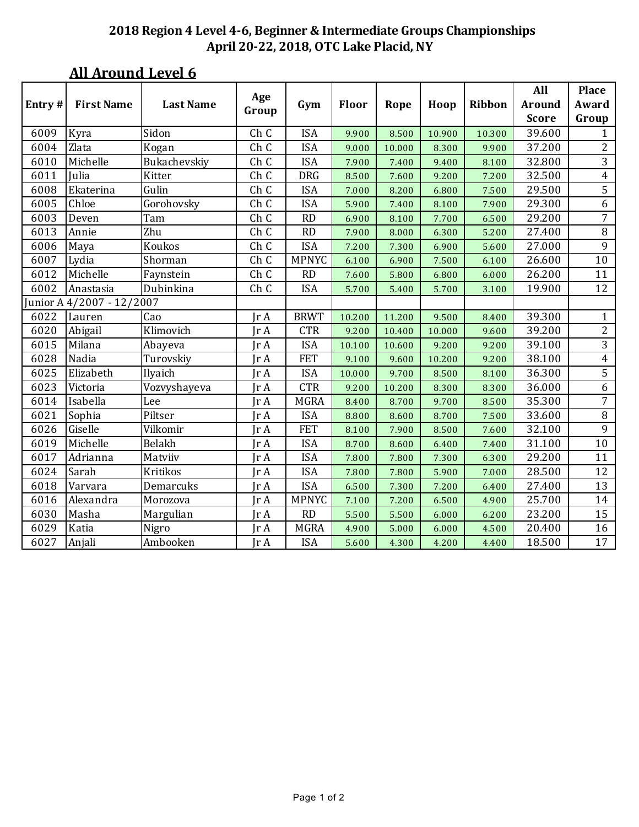|                           |                   |                  |               |              |        |        |        |        | All           | <b>Place</b>   |
|---------------------------|-------------------|------------------|---------------|--------------|--------|--------|--------|--------|---------------|----------------|
| Entry#                    | <b>First Name</b> | <b>Last Name</b> | Age<br>Group  | Gym          | Floor  | Rope   | Hoop   | Ribbon | <b>Around</b> | Award          |
|                           |                   |                  |               |              |        |        |        |        | <b>Score</b>  | Group          |
| 6009                      | Kyra              | Sidon            | Ch C          | <b>ISA</b>   | 9.900  | 8.500  | 10.900 | 10.300 | 39.600        | 1              |
| 6004                      | Zlata             | Kogan            | Ch C          | <b>ISA</b>   | 9.000  | 10.000 | 8.300  | 9.900  | 37.200        | 2              |
| 6010                      | Michelle          | Bukachevskiy     | Ch C          | <b>ISA</b>   | 7.900  | 7.400  | 9.400  | 8.100  | 32.800        | 3              |
| 6011                      | Julia             | Kitter           | Ch C          | <b>DRG</b>   | 8.500  | 7.600  | 9.200  | 7.200  | 32.500        | 4              |
| 6008                      | Ekaterina         | Gulin            | Ch C          | <b>ISA</b>   | 7.000  | 8.200  | 6.800  | 7.500  | 29.500        | 5              |
| 6005                      | Chloe             | Gorohovsky       | Ch C          | <b>ISA</b>   | 5.900  | 7.400  | 8.100  | 7.900  | 29.300        | 6              |
| 6003                      | Deven             | Tam              | Ch C          | <b>RD</b>    | 6.900  | 8.100  | 7.700  | 6.500  | 29.200        | $\overline{7}$ |
| 6013                      | Annie             | Zhu              | Ch C          | <b>RD</b>    | 7.900  | 8.000  | 6.300  | 5.200  | 27.400        | $\, 8$         |
| 6006                      | Maya              | Koukos           | Ch C          | <b>ISA</b>   | 7.200  | 7.300  | 6.900  | 5.600  | 27.000        | 9              |
| 6007                      | Lydia             | Shorman          | Ch C          | <b>MPNYC</b> | 6.100  | 6.900  | 7.500  | 6.100  | 26.600        | $10\,$         |
| 6012                      | Michelle          | Faynstein        | Ch C          | <b>RD</b>    | 7.600  | 5.800  | 6.800  | 6.000  | 26.200        | 11             |
| 6002                      | Anastasia         | Dubinkina        | Ch C          | <b>ISA</b>   | 5.700  | 5.400  | 5.700  | 3.100  | 19.900        | 12             |
| Junior A 4/2007 - 12/2007 |                   |                  |               |              |        |        |        |        |               |                |
| 6022                      | Lauren            | Cao              | $\text{Tr }A$ | <b>BRWT</b>  | 10.200 | 11.200 | 9.500  | 8.400  | 39.300        | $\mathbf{1}$   |
| 6020                      | Abigail           | Klimovich        | Jr A          | <b>CTR</b>   | 9.200  | 10.400 | 10.000 | 9.600  | 39.200        | $\overline{2}$ |
| 6015                      | Milana            | Abayeva          | Jr A          | <b>ISA</b>   | 10.100 | 10.600 | 9.200  | 9.200  | 39.100        | 3              |
| 6028                      | Nadia             | Turovskiy        | Jr A          | <b>FET</b>   | 9.100  | 9.600  | 10.200 | 9.200  | 38.100        | $\overline{4}$ |
| 6025                      | Elizabeth         | Ilyaich          | IrA           | <b>ISA</b>   | 10.000 | 9.700  | 8.500  | 8.100  | 36.300        | 5              |
| 6023                      | Victoria          | Vozvyshayeva     | Ir A          | <b>CTR</b>   | 9.200  | 10.200 | 8.300  | 8.300  | 36.000        | 6              |
| 6014                      | Isabella          | Lee              | Jr A          | <b>MGRA</b>  | 8.400  | 8.700  | 9.700  | 8.500  | 35.300        | 7              |
| 6021                      | Sophia            | Piltser          | Jr A          | <b>ISA</b>   | 8.800  | 8.600  | 8.700  | 7.500  | 33.600        | $\, 8$         |
| 6026                      | Giselle           | Vilkomir         | Jr A          | <b>FET</b>   | 8.100  | 7.900  | 8.500  | 7.600  | 32.100        | 9              |
| 6019                      | Michelle          | Belakh           | Jr A          | <b>ISA</b>   | 8.700  | 8.600  | 6.400  | 7.400  | 31.100        | $10\,$         |
| 6017                      | Adrianna          | Matviiv          | Jr A          | <b>ISA</b>   | 7.800  | 7.800  | 7.300  | 6.300  | 29.200        | 11             |
| 6024                      | Sarah             | Kritikos         | Jr A          | <b>ISA</b>   | 7.800  | 7.800  | 5.900  | 7.000  | 28.500        | 12             |
| 6018                      | Varvara           | Demarcuks        | Jr A          | <b>ISA</b>   | 6.500  | 7.300  | 7.200  | 6.400  | 27.400        | 13             |
| 6016                      | Alexandra         | Morozova         | Jr A          | <b>MPNYC</b> | 7.100  | 7.200  | 6.500  | 4.900  | 25.700        | 14             |
| 6030                      | Masha             | Margulian        | Jr A          | <b>RD</b>    | 5.500  | 5.500  | 6.000  | 6.200  | 23.200        | 15             |
| 6029                      | Katia             | Nigro            | Jr A          | <b>MGRA</b>  | 4.900  | 5.000  | 6.000  | 4.500  | 20.400        | 16             |
| 6027                      | Anjali            | Ambooken         | Jr A          | <b>ISA</b>   | 5.600  | 4.300  | 4.200  | 4.400  | 18.500        | 17             |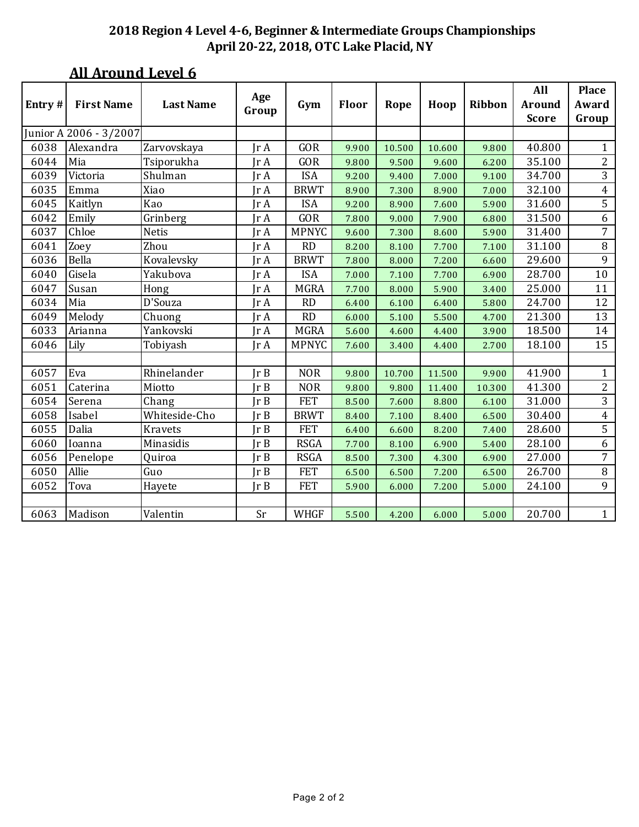| Entry $#$ | <b>First Name</b>      | <b>Last Name</b> | Age<br>Group                 | Gym          | Floor | Rope   | Hoop   | Ribbon | All<br><b>Around</b><br><b>Score</b> | <b>Place</b><br>Award<br>Group |
|-----------|------------------------|------------------|------------------------------|--------------|-------|--------|--------|--------|--------------------------------------|--------------------------------|
|           | Junior A 2006 - 3/2007 |                  |                              |              |       |        |        |        |                                      |                                |
| 6038      | Alexandra              | Zarvovskaya      | $\text{Tr }A$                | GOR          | 9.900 | 10.500 | 10.600 | 9.800  | 40.800                               | $\mathbf{1}$                   |
| 6044      | Mia                    | Tsiporukha       | $\text{Tr }A$                | GOR          | 9.800 | 9.500  | 9.600  | 6.200  | 35.100                               | $\overline{2}$                 |
| 6039      | Victoria               | Shulman          | $\text{Tr }A$                | <b>ISA</b>   | 9.200 | 9.400  | 7.000  | 9.100  | 34.700                               | 3                              |
| 6035      | Emma                   | Xiao             | $\mathop{\rm Ir}\nolimits$ A | <b>BRWT</b>  | 8.900 | 7.300  | 8.900  | 7.000  | 32.100                               | $\overline{4}$                 |
| 6045      | Kaitlyn                | Kao              | $\text{Tr }A$                | <b>ISA</b>   | 9.200 | 8.900  | 7.600  | 5.900  | 31.600                               | 5                              |
| 6042      | Emily                  | Grinberg         | IrA                          | GOR          | 7.800 | 9.000  | 7.900  | 6.800  | 31.500                               | 6                              |
| 6037      | Chloe                  | <b>Netis</b>     | IrA                          | <b>MPNYC</b> | 9.600 | 7.300  | 8.600  | 5.900  | 31.400                               | $\overline{7}$                 |
| 6041      | Zoey                   | Zhou             | $\text{Tr }A$                | <b>RD</b>    | 8.200 | 8.100  | 7.700  | 7.100  | 31.100                               | $\, 8$                         |
| 6036      | Bella                  | Kovalevsky       | $\text{Tr }A$                | <b>BRWT</b>  | 7.800 | 8.000  | 7.200  | 6.600  | 29.600                               | 9                              |
| 6040      | Gisela                 | Yakubova         | $\text{Tr }A$                | <b>ISA</b>   | 7.000 | 7.100  | 7.700  | 6.900  | 28.700                               | 10                             |
| 6047      | Susan                  | Hong             | $\text{Tr }A$                | <b>MGRA</b>  | 7.700 | 8.000  | 5.900  | 3.400  | 25.000                               | 11                             |
| 6034      | Mia                    | D'Souza          | IrA                          | <b>RD</b>    | 6.400 | 6.100  | 6.400  | 5.800  | 24.700                               | 12                             |
| 6049      | Melody                 | Chuong           | $\text{Tr }A$                | RD           | 6.000 | 5.100  | 5.500  | 4.700  | 21.300                               | 13                             |
| 6033      | Arianna                | Yankovski        | IrA                          | <b>MGRA</b>  | 5.600 | 4.600  | 4.400  | 3.900  | 18.500                               | 14                             |
| 6046      | Lily                   | Tobiyash         | $\text{Tr }A$                | <b>MPNYC</b> | 7.600 | 3.400  | 4.400  | 2.700  | 18.100                               | 15                             |
|           |                        |                  |                              |              |       |        |        |        |                                      |                                |
| 6057      | Eva                    | Rhinelander      | Ir B                         | <b>NOR</b>   | 9.800 | 10.700 | 11.500 | 9.900  | 41.900                               | $\mathbf{1}$                   |
| 6051      | Caterina               | Miotto           | Ir B                         | <b>NOR</b>   | 9.800 | 9.800  | 11.400 | 10.300 | 41.300                               | $\overline{2}$                 |
| 6054      | Serena                 | Chang            | $\text{Tr } B$               | <b>FET</b>   | 8.500 | 7.600  | 8.800  | 6.100  | 31.000                               | 3                              |
| 6058      | Isabel                 | Whiteside-Cho    | Ir B                         | <b>BRWT</b>  | 8.400 | 7.100  | 8.400  | 6.500  | 30.400                               | $\overline{4}$                 |
| 6055      | Dalia                  | <b>Kravets</b>   | Ir B                         | <b>FET</b>   | 6.400 | 6.600  | 8.200  | 7.400  | 28.600                               | 5                              |
| 6060      | Ioanna                 | Minasidis        | Ir B                         | <b>RSGA</b>  | 7.700 | 8.100  | 6.900  | 5.400  | 28.100                               | 6                              |
| 6056      | Penelope               | Quiroa           | Ir B                         | <b>RSGA</b>  | 8.500 | 7.300  | 4.300  | 6.900  | 27.000                               | 7                              |
| 6050      | Allie                  | Guo              | Ir B                         | <b>FET</b>   | 6.500 | 6.500  | 7.200  | 6.500  | 26.700                               | $\, 8$                         |
| 6052      | Tova                   | Hayete           | Ir B                         | <b>FET</b>   | 5.900 | 6.000  | 7.200  | 5.000  | 24.100                               | 9                              |
|           |                        |                  |                              |              |       |        |        |        |                                      |                                |
| 6063      | Madison                | Valentin         | Sr                           | <b>WHGF</b>  | 5.500 | 4.200  | 6.000  | 5.000  | 20.700                               | $\mathbf{1}$                   |